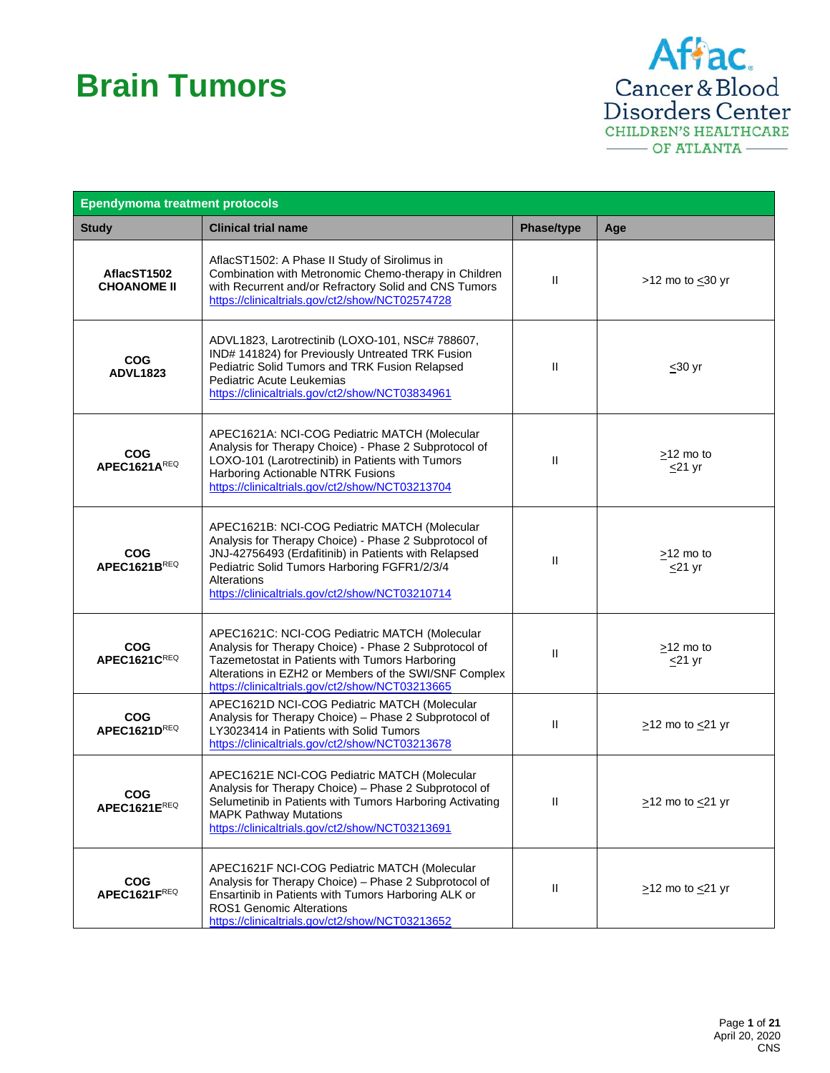## **Brain Tumors**



| <b>Ependymoma treatment protocols</b> |                                                                                                                                                                                                                                                                                         |               |                                 |
|---------------------------------------|-----------------------------------------------------------------------------------------------------------------------------------------------------------------------------------------------------------------------------------------------------------------------------------------|---------------|---------------------------------|
| <b>Study</b>                          | <b>Clinical trial name</b>                                                                                                                                                                                                                                                              | Phase/type    | Age                             |
| AflacST1502<br><b>CHOANOME II</b>     | AflacST1502: A Phase II Study of Sirolimus in<br>Combination with Metronomic Chemo-therapy in Children<br>with Recurrent and/or Refractory Solid and CNS Tumors<br>https://clinicaltrials.gov/ct2/show/NCT02574728                                                                      | $\mathbf{H}$  | >12 mo to $\leq$ 30 yr          |
| <b>COG</b><br><b>ADVL1823</b>         | ADVL1823, Larotrectinib (LOXO-101, NSC# 788607,<br>IND# 141824) for Previously Untreated TRK Fusion<br>Pediatric Solid Tumors and TRK Fusion Relapsed<br>Pediatric Acute Leukemias<br>https://clinicaltrials.gov/ct2/show/NCT03834961                                                   | Ш             | $\leq 30$ yr                    |
| <b>COG</b><br>APEC1621AREQ            | APEC1621A: NCI-COG Pediatric MATCH (Molecular<br>Analysis for Therapy Choice) - Phase 2 Subprotocol of<br>LOXO-101 (Larotrectinib) in Patients with Tumors<br>Harboring Actionable NTRK Fusions<br>https://clinicaltrials.gov/ct2/show/NCT03213704                                      | H.            | $>12$ mo to<br>$\leq$ 21 yr     |
| <b>COG</b><br><b>APEC1621BREQ</b>     | APEC1621B: NCI-COG Pediatric MATCH (Molecular<br>Analysis for Therapy Choice) - Phase 2 Subprotocol of<br>JNJ-42756493 (Erdafitinib) in Patients with Relapsed<br>Pediatric Solid Tumors Harboring FGFR1/2/3/4<br><b>Alterations</b><br>https://clinicaltrials.gov/ct2/show/NCT03210714 | $\mathbf{H}$  | $\geq$ 12 mo to<br>$\leq$ 21 yr |
| <b>COG</b><br>APEC1621CREQ            | APEC1621C: NCI-COG Pediatric MATCH (Molecular<br>Analysis for Therapy Choice) - Phase 2 Subprotocol of<br>Tazemetostat in Patients with Tumors Harboring<br>Alterations in EZH2 or Members of the SWI/SNF Complex<br>https://clinicaltrials.gov/ct2/show/NCT03213665                    | $\mathsf{II}$ | $\geq$ 12 mo to<br>$\leq$ 21 yr |
| <b>COG</b><br>APEC1621DREQ            | APEC1621D NCI-COG Pediatric MATCH (Molecular<br>Analysis for Therapy Choice) - Phase 2 Subprotocol of<br>LY3023414 in Patients with Solid Tumors<br>https://clinicaltrials.gov/ct2/show/NCT03213678                                                                                     | $\mathbf{H}$  | $\ge$ 12 mo to $\le$ 21 yr      |
| <b>COG</b><br>APEC1621EREQ            | APEC1621E NCI-COG Pediatric MATCH (Molecular<br>Analysis for Therapy Choice) - Phase 2 Subprotocol of<br>Selumetinib in Patients with Tumors Harboring Activating<br><b>MAPK Pathway Mutations</b><br>https://clinicaltrials.gov/ct2/show/NCT03213691                                   | Ш             | $\geq$ 12 mo to $\leq$ 21 yr    |
| <b>COG</b><br>APEC1621FREQ            | APEC1621F NCI-COG Pediatric MATCH (Molecular<br>Analysis for Therapy Choice) - Phase 2 Subprotocol of<br>Ensartinib in Patients with Tumors Harboring ALK or<br><b>ROS1 Genomic Alterations</b><br>https://clinicaltrials.gov/ct2/show/NCT03213652                                      | Ш             | $\geq$ 12 mo to $\leq$ 21 yr    |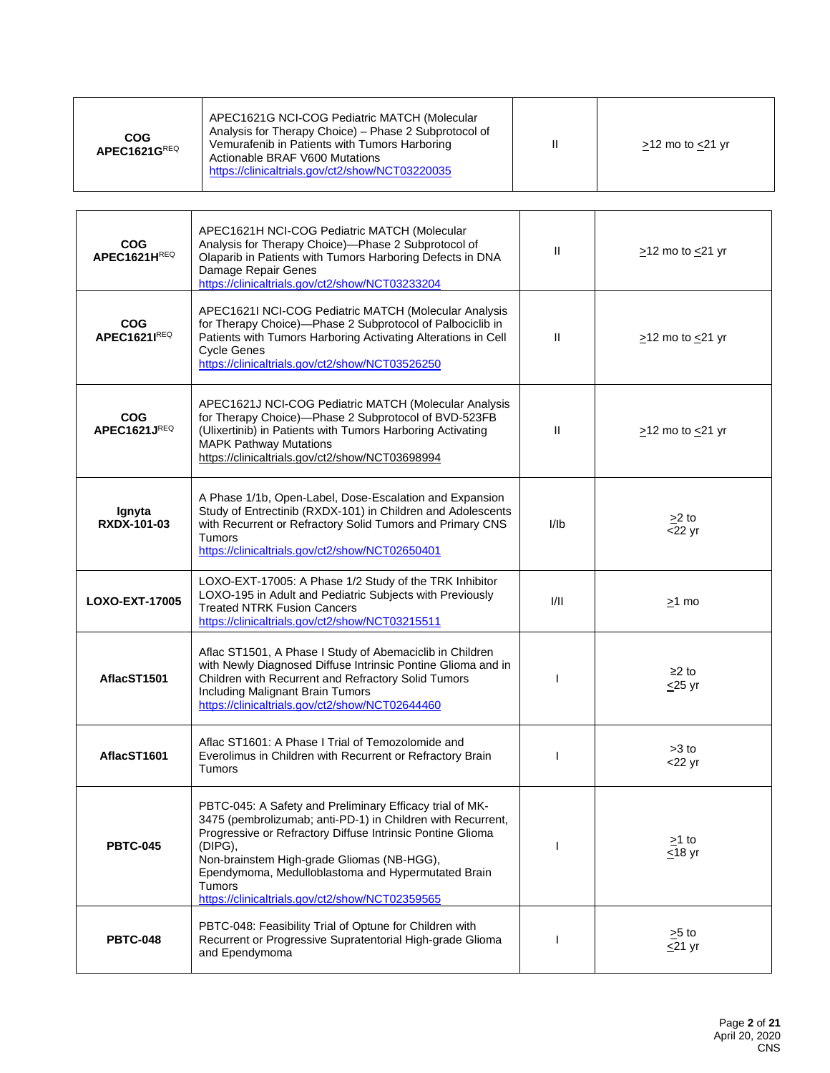| COG<br>APEC1621GREQ | APEC1621G NCI-COG Pediatric MATCH (Molecular<br>Analysis for Therapy Choice) – Phase 2 Subprotocol of<br>Vemurafenib in Patients with Tumors Harboring<br>Actionable BRAF V600 Mutations<br>https://clinicaltrials.gov/ct2/show/NCT03220035 |  | $>12$ mo to $<$ 21 yr |
|---------------------|---------------------------------------------------------------------------------------------------------------------------------------------------------------------------------------------------------------------------------------------|--|-----------------------|
|---------------------|---------------------------------------------------------------------------------------------------------------------------------------------------------------------------------------------------------------------------------------------|--|-----------------------|

| <b>COG</b><br>APEC1621HREQ | APEC1621H NCI-COG Pediatric MATCH (Molecular<br>Analysis for Therapy Choice)-Phase 2 Subprotocol of<br>Olaparib in Patients with Tumors Harboring Defects in DNA<br>Damage Repair Genes<br>https://clinicaltrials.gov/ct2/show/NCT03233204                                                                                                                        | Ш            | $\geq$ 12 mo to $\leq$ 21 yr |
|----------------------------|-------------------------------------------------------------------------------------------------------------------------------------------------------------------------------------------------------------------------------------------------------------------------------------------------------------------------------------------------------------------|--------------|------------------------------|
| <b>COG</b><br>APEC1621IREQ | APEC1621I NCI-COG Pediatric MATCH (Molecular Analysis<br>for Therapy Choice)-Phase 2 Subprotocol of Palbociclib in<br>Patients with Tumors Harboring Activating Alterations in Cell<br><b>Cycle Genes</b><br>https://clinicaltrials.gov/ct2/show/NCT03526250                                                                                                      | $\mathbf{H}$ | $\geq$ 12 mo to $\leq$ 21 yr |
| <b>COG</b><br>APEC1621JREQ | APEC1621J NCI-COG Pediatric MATCH (Molecular Analysis<br>for Therapy Choice)-Phase 2 Subprotocol of BVD-523FB<br>(Ulixertinib) in Patients with Tumors Harboring Activating<br><b>MAPK Pathway Mutations</b><br>https://clinicaltrials.gov/ct2/show/NCT03698994                                                                                                   | Ш            | $\ge$ 12 mo to $\le$ 21 yr   |
| Ignyta<br>RXDX-101-03      | A Phase 1/1b, Open-Label, Dose-Escalation and Expansion<br>Study of Entrectinib (RXDX-101) in Children and Adolescents<br>with Recurrent or Refractory Solid Tumors and Primary CNS<br><b>Tumors</b><br>https://clinicaltrials.gov/ct2/show/NCT02650401                                                                                                           | I/Ib         | $>2$ to<br>$<$ 22 yr         |
| <b>LOXO-EXT-17005</b>      | LOXO-EXT-17005: A Phase 1/2 Study of the TRK Inhibitor<br>LOXO-195 in Adult and Pediatric Subjects with Previously<br><b>Treated NTRK Fusion Cancers</b><br>https://clinicaltrials.gov/ct2/show/NCT03215511                                                                                                                                                       | VII          | $\geq$ 1 mo                  |
| AflacST1501                | Aflac ST1501, A Phase I Study of Abemaciclib in Children<br>with Newly Diagnosed Diffuse Intrinsic Pontine Glioma and in<br>Children with Recurrent and Refractory Solid Tumors<br>Including Malignant Brain Tumors<br>https://clinicaltrials.gov/ct2/show/NCT02644460                                                                                            |              | $≥2$ to<br>$\leq$ 25 yr      |
| AflacST1601                | Aflac ST1601: A Phase I Trial of Temozolomide and<br>Everolimus in Children with Recurrent or Refractory Brain<br>Tumors                                                                                                                                                                                                                                          | 1            | $>3$ to<br>$<$ 22 yr         |
| <b>PBTC-045</b>            | PBTC-045: A Safety and Preliminary Efficacy trial of MK-<br>3475 (pembrolizumab; anti-PD-1) in Children with Recurrent,<br>Progressive or Refractory Diffuse Intrinsic Pontine Glioma<br>(DIPG),<br>Non-brainstem High-grade Gliomas (NB-HGG),<br>Ependymoma, Medulloblastoma and Hypermutated Brain<br>Tumors<br>https://clinicaltrials.gov/ct2/show/NCT02359565 |              | >1 to<br>$\leq$ 18 yr        |
| <b>PBTC-048</b>            | PBTC-048: Feasibility Trial of Optune for Children with<br>Recurrent or Progressive Supratentorial High-grade Glioma<br>and Ependymoma                                                                                                                                                                                                                            |              | $>5$ to<br>$\leq$ 21 yr      |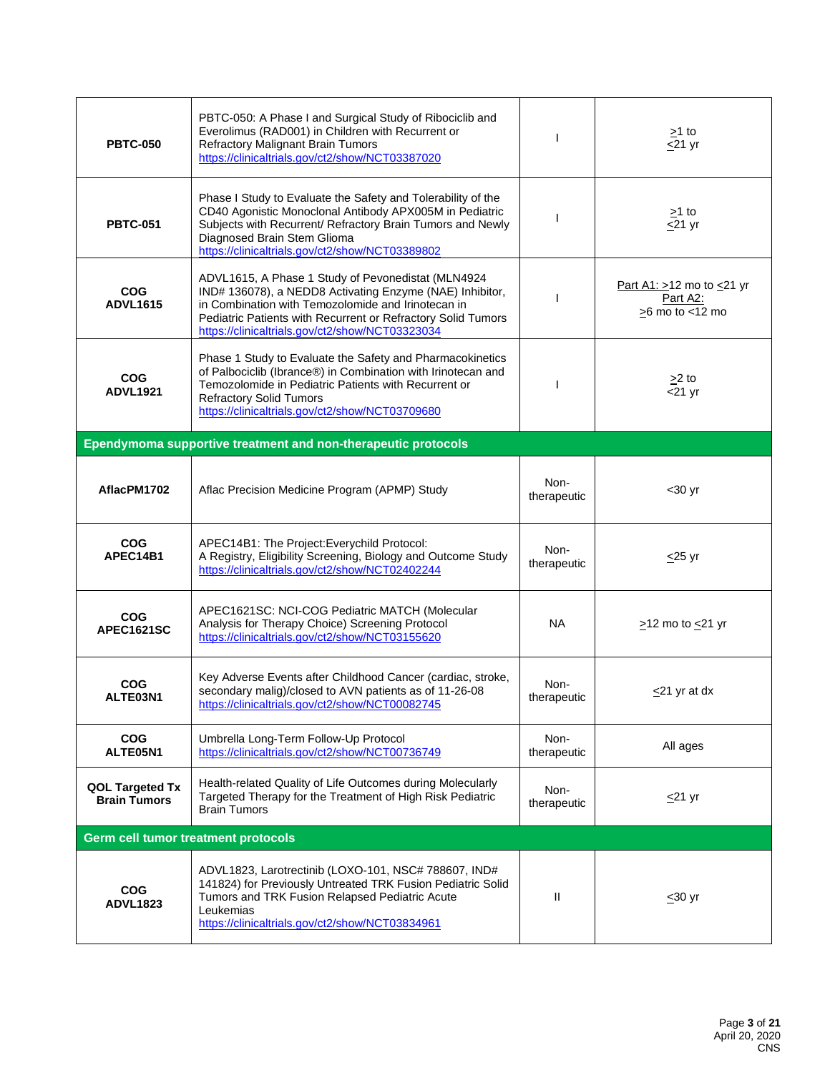| <b>PBTC-050</b>                        | PBTC-050: A Phase I and Surgical Study of Ribociclib and<br>Everolimus (RAD001) in Children with Recurrent or<br><b>Refractory Malignant Brain Tumors</b><br>https://clinicaltrials.gov/ct2/show/NCT03387020                                                                            |                     | $\geq$ 1 to<br>$\leq$ 21 yr                                      |  |
|----------------------------------------|-----------------------------------------------------------------------------------------------------------------------------------------------------------------------------------------------------------------------------------------------------------------------------------------|---------------------|------------------------------------------------------------------|--|
| <b>PBTC-051</b>                        | Phase I Study to Evaluate the Safety and Tolerability of the<br>CD40 Agonistic Monoclonal Antibody APX005M in Pediatric<br>Subjects with Recurrent/ Refractory Brain Tumors and Newly<br>Diagnosed Brain Stem Glioma<br>https://clinicaltrials.gov/ct2/show/NCT03389802                 | $\mathbf{I}$        | $>1$ to<br>$\leq$ 21 yr                                          |  |
| <b>COG</b><br><b>ADVL1615</b>          | ADVL1615, A Phase 1 Study of Pevonedistat (MLN4924<br>IND# 136078), a NEDD8 Activating Enzyme (NAE) Inhibitor,<br>in Combination with Temozolomide and Irinotecan in<br>Pediatric Patients with Recurrent or Refractory Solid Tumors<br>https://clinicaltrials.gov/ct2/show/NCT03323034 | H                   | Part A1: $>12$ mo to $\leq$ 21 yr<br>Part A2:<br>>6 mo to <12 mo |  |
| <b>COG</b><br><b>ADVL1921</b>          | Phase 1 Study to Evaluate the Safety and Pharmacokinetics<br>of Palbociclib (Ibrance®) in Combination with Irinotecan and<br>Temozolomide in Pediatric Patients with Recurrent or<br><b>Refractory Solid Tumors</b><br>https://clinicaltrials.gov/ct2/show/NCT03709680                  | $\mathbf{I}$        | $>2$ to<br>$<$ 21 yr                                             |  |
|                                        | Ependymoma supportive treatment and non-therapeutic protocols                                                                                                                                                                                                                           |                     |                                                                  |  |
| AflacPM1702                            | Aflac Precision Medicine Program (APMP) Study                                                                                                                                                                                                                                           | Non-<br>therapeutic | $30$ yr                                                          |  |
| <b>COG</b><br>APEC14B1                 | APEC14B1: The Project: Everychild Protocol:<br>A Registry, Eligibility Screening, Biology and Outcome Study<br>https://clinicaltrials.gov/ct2/show/NCT02402244                                                                                                                          | Non-<br>therapeutic | $\leq$ 25 yr                                                     |  |
| <b>COG</b><br><b>APEC1621SC</b>        | APEC1621SC: NCI-COG Pediatric MATCH (Molecular<br>Analysis for Therapy Choice) Screening Protocol<br>https://clinicaltrials.gov/ct2/show/NCT03155620                                                                                                                                    | NA.                 | $\geq$ 12 mo to $\leq$ 21 yr                                     |  |
| <b>COG</b><br>ALTE03N1                 | Key Adverse Events after Childhood Cancer (cardiac, stroke,<br>secondary malig)/closed to AVN patients as of 11-26-08<br>https://clinicaltrials.gov/ct2/show/NCT00082745                                                                                                                | Non-<br>therapeutic | $\leq$ 21 yr at dx                                               |  |
| <b>COG</b><br>ALTE05N1                 | Umbrella Long-Term Follow-Up Protocol<br>https://clinicaltrials.gov/ct2/show/NCT00736749                                                                                                                                                                                                | Non-<br>therapeutic | All ages                                                         |  |
| QOL Targeted Tx<br><b>Brain Tumors</b> | Health-related Quality of Life Outcomes during Molecularly<br>Targeted Therapy for the Treatment of High Risk Pediatric<br><b>Brain Tumors</b>                                                                                                                                          | Non-<br>therapeutic | $\leq$ 21 yr                                                     |  |
| Germ cell tumor treatment protocols    |                                                                                                                                                                                                                                                                                         |                     |                                                                  |  |
| <b>COG</b><br><b>ADVL1823</b>          | ADVL1823, Larotrectinib (LOXO-101, NSC# 788607, IND#<br>141824) for Previously Untreated TRK Fusion Pediatric Solid<br>Tumors and TRK Fusion Relapsed Pediatric Acute<br>Leukemias<br>https://clinicaltrials.gov/ct2/show/NCT03834961                                                   | Ш                   | $\leq 30$ yr                                                     |  |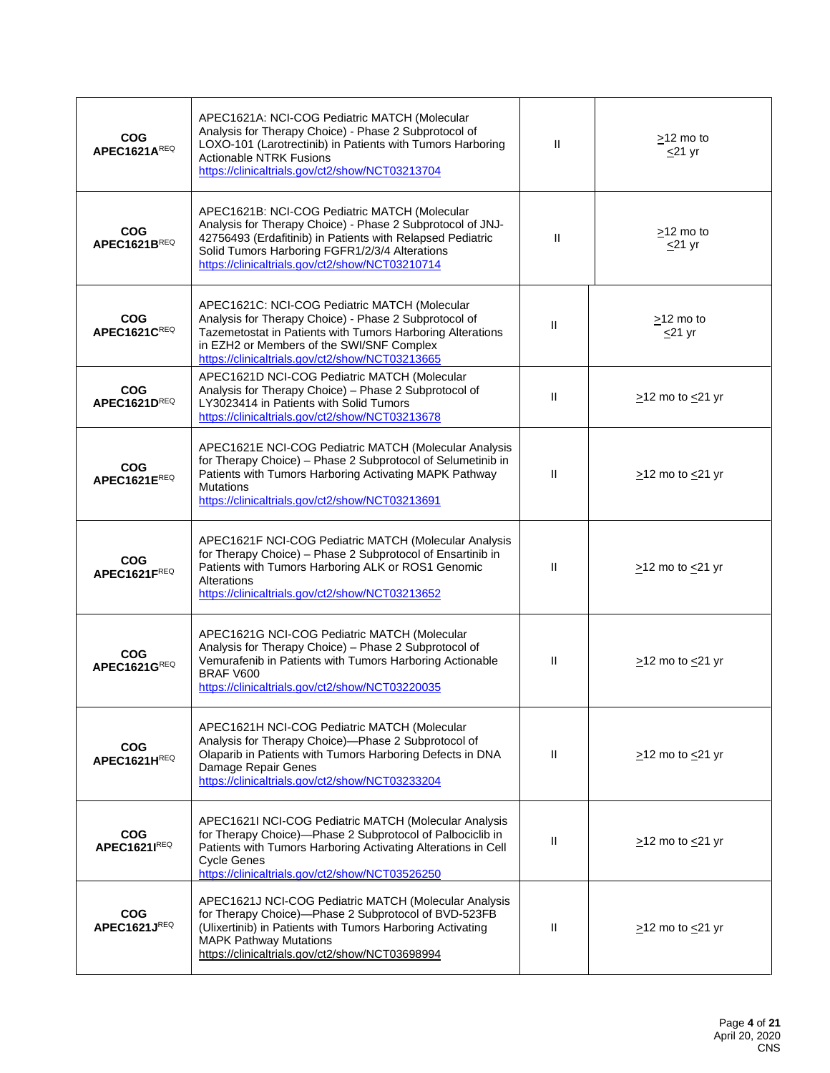| <b>COG</b><br><b>APEC1621AREQ</b> | APEC1621A: NCI-COG Pediatric MATCH (Molecular<br>Analysis for Therapy Choice) - Phase 2 Subprotocol of<br>LOXO-101 (Larotrectinib) in Patients with Tumors Harboring<br><b>Actionable NTRK Fusions</b><br>https://clinicaltrials.gov/ct2/show/NCT03213704                      | Ш            | $>12$ mo to<br>$\leq$ 21 yr  |
|-----------------------------------|--------------------------------------------------------------------------------------------------------------------------------------------------------------------------------------------------------------------------------------------------------------------------------|--------------|------------------------------|
| <b>COG</b><br>APEC1621BREQ        | APEC1621B: NCI-COG Pediatric MATCH (Molecular<br>Analysis for Therapy Choice) - Phase 2 Subprotocol of JNJ-<br>42756493 (Erdafitinib) in Patients with Relapsed Pediatric<br>Solid Tumors Harboring FGFR1/2/3/4 Alterations<br>https://clinicaltrials.gov/ct2/show/NCT03210714 | Ш            | $>12$ mo to<br>$<$ 21 yr     |
| <b>COG</b><br>APEC1621CREQ        | APEC1621C: NCI-COG Pediatric MATCH (Molecular<br>Analysis for Therapy Choice) - Phase 2 Subprotocol of<br>Tazemetostat in Patients with Tumors Harboring Alterations<br>in EZH2 or Members of the SWI/SNF Complex<br>https://clinicaltrials.gov/ct2/show/NCT03213665           | $\mathbf{H}$ | >12 mo to<br>$\leq$ 21 yr    |
| <b>COG</b><br>APEC1621DREQ        | APEC1621D NCI-COG Pediatric MATCH (Molecular<br>Analysis for Therapy Choice) - Phase 2 Subprotocol of<br>LY3023414 in Patients with Solid Tumors<br>https://clinicaltrials.gov/ct2/show/NCT03213678                                                                            | $\mathbf{H}$ | $\ge$ 12 mo to $\le$ 21 yr   |
| <b>COG</b><br>APEC1621EREQ        | APEC1621E NCI-COG Pediatric MATCH (Molecular Analysis<br>for Therapy Choice) - Phase 2 Subprotocol of Selumetinib in<br>Patients with Tumors Harboring Activating MAPK Pathway<br><b>Mutations</b><br>https://clinicaltrials.gov/ct2/show/NCT03213691                          | $\mathbf{H}$ | $\ge$ 12 mo to $\le$ 21 yr   |
| <b>COG</b><br>APEC1621FREQ        | APEC1621F NCI-COG Pediatric MATCH (Molecular Analysis<br>for Therapy Choice) - Phase 2 Subprotocol of Ensartinib in<br>Patients with Tumors Harboring ALK or ROS1 Genomic<br>Alterations<br>https://clinicaltrials.gov/ct2/show/NCT03213652                                    | $\mathbf{H}$ | $\geq$ 12 mo to $\leq$ 21 yr |
| <b>COG</b><br>APEC1621GREQ        | APEC1621G NCI-COG Pediatric MATCH (Molecular<br>Analysis for Therapy Choice) - Phase 2 Subprotocol of<br>Vemurafenib in Patients with Tumors Harboring Actionable<br>BRAF V600<br>https://clinicaltrials.gov/ct2/show/NCT03220035                                              | Ш            | >12 mo to <21 yr             |
| <b>COG</b><br>APEC1621HREQ        | APEC1621H NCI-COG Pediatric MATCH (Molecular<br>Analysis for Therapy Choice)-Phase 2 Subprotocol of<br>Olaparib in Patients with Tumors Harboring Defects in DNA<br>Damage Repair Genes<br>https://clinicaltrials.gov/ct2/show/NCT03233204                                     | $\mathbf{H}$ | $\geq$ 12 mo to $\leq$ 21 yr |
| <b>COG</b><br><b>APEC1621IREQ</b> | APEC1621I NCI-COG Pediatric MATCH (Molecular Analysis<br>for Therapy Choice)-Phase 2 Subprotocol of Palbociclib in<br>Patients with Tumors Harboring Activating Alterations in Cell<br><b>Cycle Genes</b><br>https://clinicaltrials.gov/ct2/show/NCT03526250                   | $\mathbf{H}$ | $\geq$ 12 mo to $\leq$ 21 yr |
| <b>COG</b><br>APEC1621JREQ        | APEC1621J NCI-COG Pediatric MATCH (Molecular Analysis<br>for Therapy Choice)-Phase 2 Subprotocol of BVD-523FB<br>(Ulixertinib) in Patients with Tumors Harboring Activating<br><b>MAPK Pathway Mutations</b><br>https://clinicaltrials.gov/ct2/show/NCT03698994                | $\mathbf{H}$ | $\geq$ 12 mo to $\leq$ 21 yr |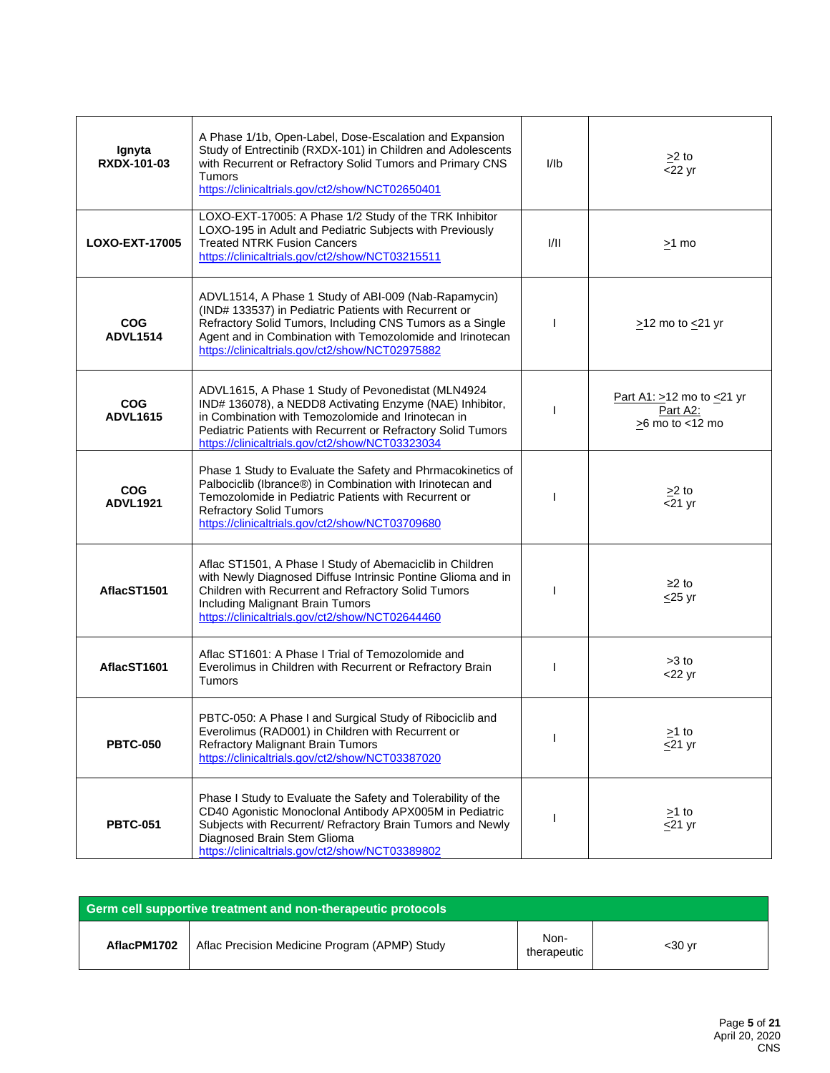| Ignyta<br>RXDX-101-03         | A Phase 1/1b, Open-Label, Dose-Escalation and Expansion<br>Study of Entrectinib (RXDX-101) in Children and Adolescents<br>with Recurrent or Refractory Solid Tumors and Primary CNS<br>Tumors<br>https://clinicaltrials.gov/ct2/show/NCT02650401                                           | I/Ib         | $\geq$ 2 to<br>$<$ 22 yr                                               |
|-------------------------------|--------------------------------------------------------------------------------------------------------------------------------------------------------------------------------------------------------------------------------------------------------------------------------------------|--------------|------------------------------------------------------------------------|
| <b>LOXO-EXT-17005</b>         | LOXO-EXT-17005: A Phase 1/2 Study of the TRK Inhibitor<br>LOXO-195 in Adult and Pediatric Subjects with Previously<br><b>Treated NTRK Fusion Cancers</b><br>https://clinicaltrials.gov/ct2/show/NCT03215511                                                                                | VII          | $>1$ mo                                                                |
| <b>COG</b><br><b>ADVL1514</b> | ADVL1514, A Phase 1 Study of ABI-009 (Nab-Rapamycin)<br>(IND# 133537) in Pediatric Patients with Recurrent or<br>Refractory Solid Tumors, Including CNS Tumors as a Single<br>Agent and in Combination with Temozolomide and Irinotecan<br>https://clinicaltrials.gov/ct2/show/NCT02975882 | $\mathbf{I}$ | $\geq$ 12 mo to $\leq$ 21 yr                                           |
| <b>COG</b><br><b>ADVL1615</b> | ADVL1615, A Phase 1 Study of Pevonedistat (MLN4924<br>IND# 136078), a NEDD8 Activating Enzyme (NAE) Inhibitor,<br>in Combination with Temozolomide and Irinotecan in<br>Pediatric Patients with Recurrent or Refractory Solid Tumors<br>https://clinicaltrials.gov/ct2/show/NCT03323034    |              | Part A1: $>12$ mo to $\leq$ 21 yr<br>Part A2:<br>$\geq$ 6 mo to <12 mo |
| <b>COG</b><br><b>ADVL1921</b> | Phase 1 Study to Evaluate the Safety and Phrmacokinetics of<br>Palbociclib (Ibrance®) in Combination with Irinotecan and<br>Temozolomide in Pediatric Patients with Recurrent or<br><b>Refractory Solid Tumors</b><br>https://clinicaltrials.gov/ct2/show/NCT03709680                      |              | $\geq$ 2 to<br>$\overline{21}$ yr                                      |
| AflacST1501                   | Aflac ST1501, A Phase I Study of Abemaciclib in Children<br>with Newly Diagnosed Diffuse Intrinsic Pontine Glioma and in<br>Children with Recurrent and Refractory Solid Tumors<br><b>Including Malignant Brain Tumors</b><br>https://clinicaltrials.gov/ct2/show/NCT02644460              | H            | $≥2$ to<br>$\leq$ 25 yr                                                |
| AflacST1601                   | Aflac ST1601: A Phase I Trial of Temozolomide and<br>Everolimus in Children with Recurrent or Refractory Brain<br>Tumors                                                                                                                                                                   |              | $>3$ to<br>$<$ 22 yr                                                   |
| <b>PBTC-050</b>               | PBTC-050: A Phase I and Surgical Study of Ribociclib and<br>Everolimus (RAD001) in Children with Recurrent or<br><b>Refractory Malignant Brain Tumors</b><br>https://clinicaltrials.gov/ct2/show/NCT03387020                                                                               |              | $\geq$ 1 to<br>$\leq$ 21 yr                                            |
| <b>PBTC-051</b>               | Phase I Study to Evaluate the Safety and Tolerability of the<br>CD40 Agonistic Monoclonal Antibody APX005M in Pediatric<br>Subjects with Recurrent/ Refractory Brain Tumors and Newly<br>Diagnosed Brain Stem Glioma<br>https://clinicaltrials.gov/ct2/show/NCT03389802                    |              | $\geq$ 1 to<br>$\leq$ 21 yr                                            |

| Germ cell supportive treatment and non-therapeutic protocols |                                               |                     |         |
|--------------------------------------------------------------|-----------------------------------------------|---------------------|---------|
| AflacPM1702                                                  | Aflac Precision Medicine Program (APMP) Study | Non-<br>therapeutic | $30 yr$ |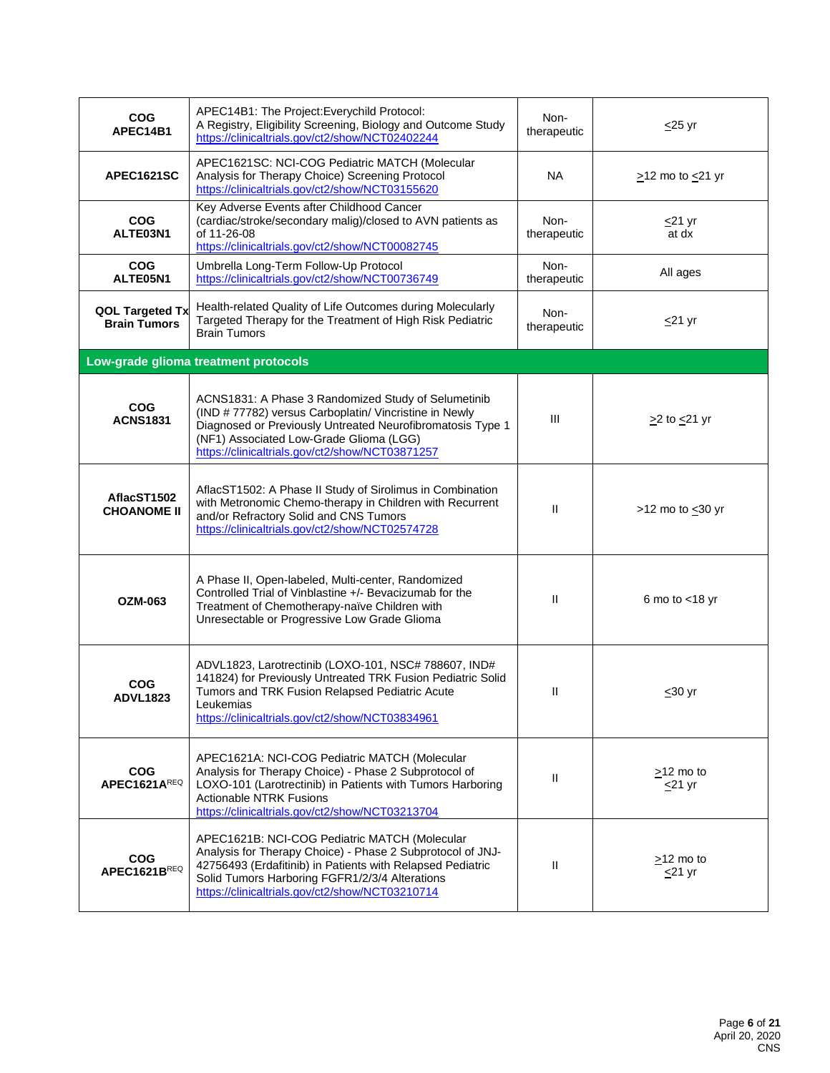| COG<br>APEC14B1                        | APEC14B1: The Project: Everychild Protocol:<br>A Registry, Eligibility Screening, Biology and Outcome Study<br>https://clinicaltrials.gov/ct2/show/NCT02402244                                                                                                                 | Non-<br>therapeutic | $\leq$ 25 yr                    |
|----------------------------------------|--------------------------------------------------------------------------------------------------------------------------------------------------------------------------------------------------------------------------------------------------------------------------------|---------------------|---------------------------------|
| APEC1621SC                             | APEC1621SC: NCI-COG Pediatric MATCH (Molecular<br>Analysis for Therapy Choice) Screening Protocol<br>https://clinicaltrials.gov/ct2/show/NCT03155620                                                                                                                           | <b>NA</b>           | $\geq$ 12 mo to $\leq$ 21 yr    |
| <b>COG</b><br>ALTE03N1                 | Key Adverse Events after Childhood Cancer<br>(cardiac/stroke/secondary malig)/closed to AVN patients as<br>of 11-26-08<br>https://clinicaltrials.gov/ct2/show/NCT00082745                                                                                                      | Non-<br>therapeutic | $<$ 21 yr<br>at dx              |
| <b>COG</b><br>ALTE05N1                 | Umbrella Long-Term Follow-Up Protocol<br>https://clinicaltrials.gov/ct2/show/NCT00736749                                                                                                                                                                                       | Non-<br>therapeutic | All ages                        |
| QOL Targeted Tx<br><b>Brain Tumors</b> | Health-related Quality of Life Outcomes during Molecularly<br>Targeted Therapy for the Treatment of High Risk Pediatric<br><b>Brain Tumors</b>                                                                                                                                 | Non-<br>therapeutic | $\leq$ 21 yr                    |
|                                        | Low-grade glioma treatment protocols                                                                                                                                                                                                                                           |                     |                                 |
| <b>COG</b><br><b>ACNS1831</b>          | ACNS1831: A Phase 3 Randomized Study of Selumetinib<br>(IND # 77782) versus Carboplatin/ Vincristine in Newly<br>Diagnosed or Previously Untreated Neurofibromatosis Type 1<br>(NF1) Associated Low-Grade Glioma (LGG)<br>https://clinicaltrials.gov/ct2/show/NCT03871257      | Ш                   | $\geq$ 2 to $\leq$ 21 yr        |
| AflacST1502<br><b>CHOANOME II</b>      | AflacST1502: A Phase II Study of Sirolimus in Combination<br>with Metronomic Chemo-therapy in Children with Recurrent<br>and/or Refractory Solid and CNS Tumors<br>https://clinicaltrials.gov/ct2/show/NCT02574728                                                             | $\mathbf{I}$        | >12 mo to $\leq$ 30 yr          |
| <b>OZM-063</b>                         | A Phase II, Open-labeled, Multi-center, Randomized<br>Controlled Trial of Vinblastine +/- Bevacizumab for the<br>Treatment of Chemotherapy-naïve Children with<br>Unresectable or Progressive Low Grade Glioma                                                                 | $\mathbf{I}$        | 6 mo to $<$ 18 yr               |
| <b>COG</b><br><b>ADVL1823</b>          | ADVL1823, Larotrectinib (LOXO-101, NSC# 788607, IND#<br>141824) for Previously Untreated TRK Fusion Pediatric Solid<br>Tumors and TRK Fusion Relapsed Pediatric Acute<br>Leukemias<br>https://clinicaltrials.gov/ct2/show/NCT03834961                                          | Ш                   | <u>&lt;</u> 30 yr               |
| <b>COG</b><br>APEC1621AREQ             | APEC1621A: NCI-COG Pediatric MATCH (Molecular<br>Analysis for Therapy Choice) - Phase 2 Subprotocol of<br>LOXO-101 (Larotrectinib) in Patients with Tumors Harboring<br><b>Actionable NTRK Fusions</b><br>https://clinicaltrials.gov/ct2/show/NCT03213704                      | Ш                   | $\geq$ 12 mo to<br>$\leq$ 21 yr |
| <b>COG</b><br>APEC1621BREQ             | APEC1621B: NCI-COG Pediatric MATCH (Molecular<br>Analysis for Therapy Choice) - Phase 2 Subprotocol of JNJ-<br>42756493 (Erdafitinib) in Patients with Relapsed Pediatric<br>Solid Tumors Harboring FGFR1/2/3/4 Alterations<br>https://clinicaltrials.gov/ct2/show/NCT03210714 | Ш                   | $>12$ mo to<br>$<$ 21 yr        |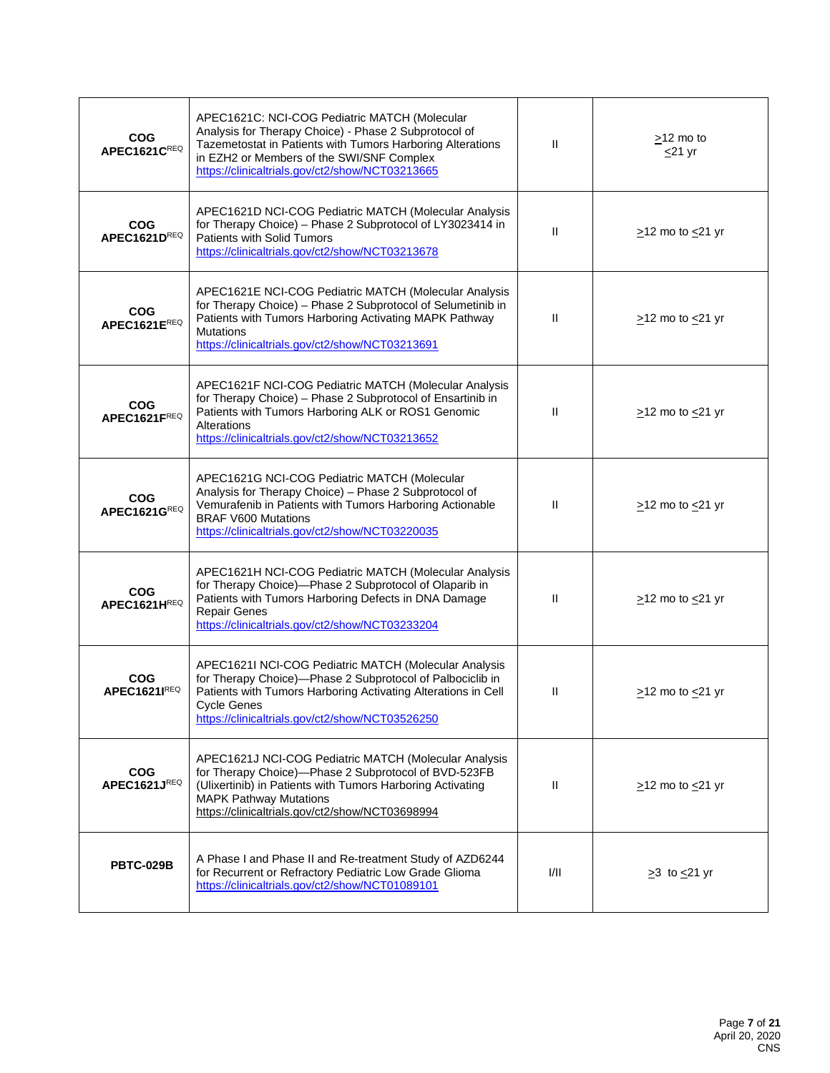| <b>COG</b><br>APEC1621CREQ | APEC1621C: NCI-COG Pediatric MATCH (Molecular<br>Analysis for Therapy Choice) - Phase 2 Subprotocol of<br>Tazemetostat in Patients with Tumors Harboring Alterations<br>in EZH2 or Members of the SWI/SNF Complex<br>https://clinicaltrials.gov/ct2/show/NCT03213665 | $\mathbf{I}$   | $\geq$ 12 mo to<br>$\leq$ 21 yr |
|----------------------------|----------------------------------------------------------------------------------------------------------------------------------------------------------------------------------------------------------------------------------------------------------------------|----------------|---------------------------------|
| <b>COG</b><br>APEC1621DREQ | APEC1621D NCI-COG Pediatric MATCH (Molecular Analysis<br>for Therapy Choice) - Phase 2 Subprotocol of LY3023414 in<br>Patients with Solid Tumors<br>https://clinicaltrials.gov/ct2/show/NCT03213678                                                                  | $\mathbf{H}$   | $\ge$ 12 mo to $\le$ 21 yr      |
| <b>COG</b><br>APEC1621EREQ | APEC1621E NCI-COG Pediatric MATCH (Molecular Analysis<br>for Therapy Choice) - Phase 2 Subprotocol of Selumetinib in<br>Patients with Tumors Harboring Activating MAPK Pathway<br><b>Mutations</b><br>https://clinicaltrials.gov/ct2/show/NCT03213691                | Ш              | $\ge$ 12 mo to $\le$ 21 yr      |
| <b>COG</b><br>APEC1621FREQ | APEC1621F NCI-COG Pediatric MATCH (Molecular Analysis<br>for Therapy Choice) - Phase 2 Subprotocol of Ensartinib in<br>Patients with Tumors Harboring ALK or ROS1 Genomic<br>Alterations<br>https://clinicaltrials.gov/ct2/show/NCT03213652                          | $\mathbf{I}$   | $\ge$ 12 mo to $\le$ 21 yr      |
| <b>COG</b><br>APEC1621GREQ | APEC1621G NCI-COG Pediatric MATCH (Molecular<br>Analysis for Therapy Choice) - Phase 2 Subprotocol of<br>Vemurafenib in Patients with Tumors Harboring Actionable<br><b>BRAF V600 Mutations</b><br>https://clinicaltrials.gov/ct2/show/NCT03220035                   | $\mathbf{I}$   | $\ge$ 12 mo to $\le$ 21 yr      |
| <b>COG</b><br>APEC1621HREQ | APEC1621H NCI-COG Pediatric MATCH (Molecular Analysis<br>for Therapy Choice)-Phase 2 Subprotocol of Olaparib in<br>Patients with Tumors Harboring Defects in DNA Damage<br><b>Repair Genes</b><br>https://clinicaltrials.gov/ct2/show/NCT03233204                    | $\mathbf{H}$   | $\geq$ 12 mo to $\leq$ 21 yr    |
| <b>COG</b><br>APEC1621IREQ | APEC1621I NCI-COG Pediatric MATCH (Molecular Analysis<br>for Therapy Choice)-Phase 2 Subprotocol of Palbociclib in<br>Patients with Tumors Harboring Activating Alterations in Cell<br><b>Cycle Genes</b><br>https://clinicaltrials.gov/ct2/show/NCT03526250         | $\, \parallel$ | $\ge$ 12 mo to $\le$ 21 yr      |
| <b>COG</b><br>APEC1621JREQ | APEC1621J NCI-COG Pediatric MATCH (Molecular Analysis<br>for Therapy Choice)-Phase 2 Subprotocol of BVD-523FB<br>(Ulixertinib) in Patients with Tumors Harboring Activating<br><b>MAPK Pathway Mutations</b><br>https://clinicaltrials.gov/ct2/show/NCT03698994      | $\mathbf{H}$   | $\geq$ 12 mo to $\leq$ 21 yr    |
| <b>PBTC-029B</b>           | A Phase I and Phase II and Re-treatment Study of AZD6244<br>for Recurrent or Refractory Pediatric Low Grade Glioma<br>https://clinicaltrials.gov/ct2/show/NCT01089101                                                                                                | 1/11           | $\geq$ 3 to $\leq$ 21 yr        |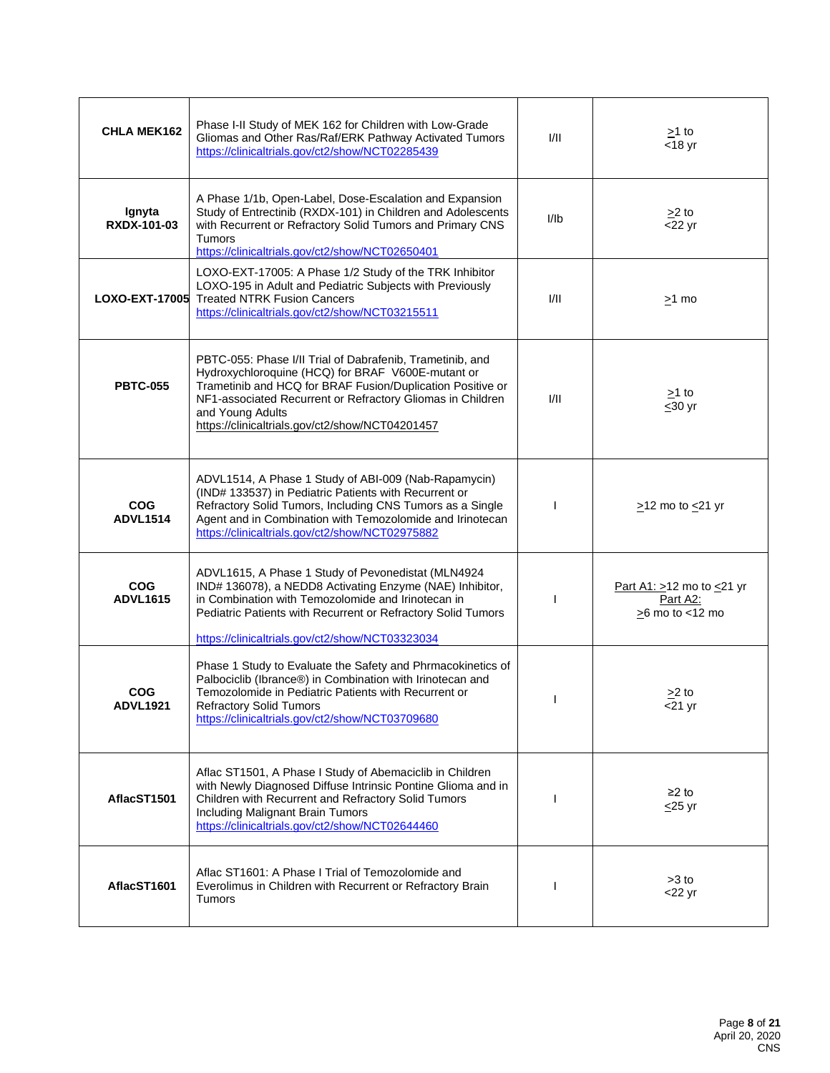| <b>CHLA MEK162</b>            | Phase I-II Study of MEK 162 for Children with Low-Grade<br>Gliomas and Other Ras/Raf/ERK Pathway Activated Tumors<br>https://clinicaltrials.gov/ct2/show/NCT02285439                                                                                                                                              | VII. | $\geq$ 1 to<br>$<$ 18 yr                                               |
|-------------------------------|-------------------------------------------------------------------------------------------------------------------------------------------------------------------------------------------------------------------------------------------------------------------------------------------------------------------|------|------------------------------------------------------------------------|
| Ignyta<br><b>RXDX-101-03</b>  | A Phase 1/1b, Open-Label, Dose-Escalation and Expansion<br>Study of Entrectinib (RXDX-101) in Children and Adolescents<br>with Recurrent or Refractory Solid Tumors and Primary CNS<br><b>Tumors</b><br>https://clinicaltrials.gov/ct2/show/NCT02650401                                                           | I/Ib | $>2$ to<br>$<$ 22 yr                                                   |
| <b>LOXO-EXT-17005</b>         | LOXO-EXT-17005: A Phase 1/2 Study of the TRK Inhibitor<br>LOXO-195 in Adult and Pediatric Subjects with Previously<br><b>Treated NTRK Fusion Cancers</b><br>https://clinicaltrials.gov/ct2/show/NCT03215511                                                                                                       | 1/11 | >1 mo                                                                  |
| <b>PBTC-055</b>               | PBTC-055: Phase I/II Trial of Dabrafenib, Trametinib, and<br>Hydroxychloroquine (HCQ) for BRAF V600E-mutant or<br>Trametinib and HCQ for BRAF Fusion/Duplication Positive or<br>NF1-associated Recurrent or Refractory Gliomas in Children<br>and Young Adults<br>https://clinicaltrials.gov/ct2/show/NCT04201457 | I/II | $\geq$ 1 to<br>$\leq 30$ yr                                            |
| <b>COG</b><br><b>ADVL1514</b> | ADVL1514, A Phase 1 Study of ABI-009 (Nab-Rapamycin)<br>(IND# 133537) in Pediatric Patients with Recurrent or<br>Refractory Solid Tumors, Including CNS Tumors as a Single<br>Agent and in Combination with Temozolomide and Irinotecan<br>https://clinicaltrials.gov/ct2/show/NCT02975882                        |      | $\geq$ 12 mo to $\leq$ 21 yr                                           |
| <b>COG</b><br><b>ADVL1615</b> | ADVL1615, A Phase 1 Study of Pevonedistat (MLN4924<br>IND# 136078), a NEDD8 Activating Enzyme (NAE) Inhibitor,<br>in Combination with Temozolomide and Irinotecan in<br>Pediatric Patients with Recurrent or Refractory Solid Tumors<br>https://clinicaltrials.gov/ct2/show/NCT03323034                           |      | Part A1: $>12$ mo to $\leq$ 21 yr<br>Part A2:<br>$\geq$ 6 mo to <12 mo |
| <b>COG</b><br><b>ADVL1921</b> | Phase 1 Study to Evaluate the Safety and Phrmacokinetics of<br>Palbociclib (Ibrance®) in Combination with Irinotecan and<br>Temozolomide in Pediatric Patients with Recurrent or<br><b>Refractory Solid Tumors</b><br>https://clinicaltrials.gov/ct2/show/NCT03709680                                             |      | >2 to<br>$<$ 21 yr                                                     |
| AflacST1501                   | Aflac ST1501, A Phase I Study of Abemaciclib in Children<br>with Newly Diagnosed Diffuse Intrinsic Pontine Glioma and in<br>Children with Recurrent and Refractory Solid Tumors<br>Including Malignant Brain Tumors<br>https://clinicaltrials.gov/ct2/show/NCT02644460                                            |      | $≥2$ to<br>$\leq$ 25 yr                                                |
| AflacST1601                   | Aflac ST1601: A Phase I Trial of Temozolomide and<br>Everolimus in Children with Recurrent or Refractory Brain<br><b>Tumors</b>                                                                                                                                                                                   |      | $>3$ to<br>$<$ 22 yr                                                   |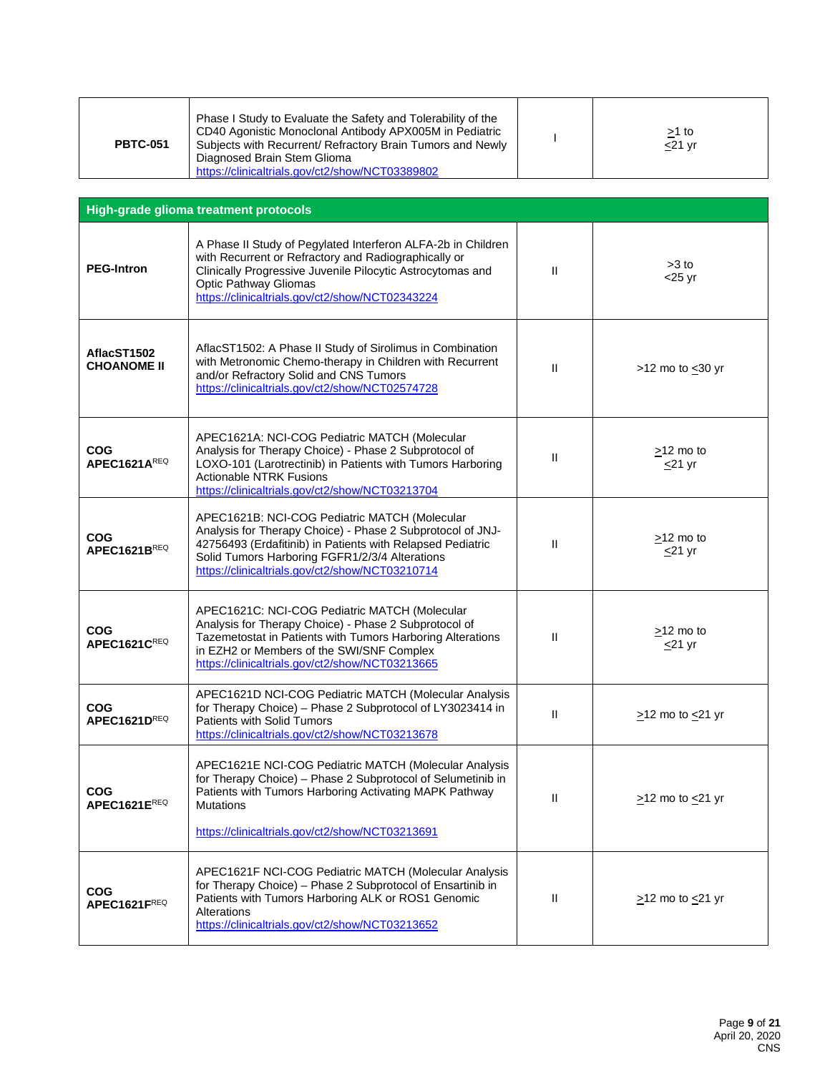| Phase I Study to Evaluate the Safety and Tolerability of the<br>CD40 Agonistic Monoclonal Antibody APX005M in Pediatric<br>Subjects with Recurrent/ Refractory Brain Tumors and Newly<br><b>PBTC-051</b><br>Diagnosed Brain Stem Glioma<br>https://clinicaltrials.gov/ct2/show/NCT03389802 |  | <u>&gt;</u> 1 to<br>$<$ 21 yr |
|--------------------------------------------------------------------------------------------------------------------------------------------------------------------------------------------------------------------------------------------------------------------------------------------|--|-------------------------------|
|--------------------------------------------------------------------------------------------------------------------------------------------------------------------------------------------------------------------------------------------------------------------------------------------|--|-------------------------------|

| High-grade glioma treatment protocols                        |                                                                                                                                                                                                                                                                                |               |                                 |
|--------------------------------------------------------------|--------------------------------------------------------------------------------------------------------------------------------------------------------------------------------------------------------------------------------------------------------------------------------|---------------|---------------------------------|
| <b>PEG-Intron</b>                                            | A Phase II Study of Pegylated Interferon ALFA-2b in Children<br>with Recurrent or Refractory and Radiographically or<br>Clinically Progressive Juvenile Pilocytic Astrocytomas and<br>Optic Pathway Gliomas<br>https://clinicaltrials.gov/ct2/show/NCT02343224                 | Ш             | $>3$ to<br>$<$ 25 yr            |
| AflacST1502<br><b>CHOANOME II</b>                            | AflacST1502: A Phase II Study of Sirolimus in Combination<br>with Metronomic Chemo-therapy in Children with Recurrent<br>and/or Refractory Solid and CNS Tumors<br>https://clinicaltrials.gov/ct2/show/NCT02574728                                                             | $\mathbf{II}$ | >12 mo to $\leq$ 30 yr          |
| <b>COG</b><br>APEC1621AREQ                                   | APEC1621A: NCI-COG Pediatric MATCH (Molecular<br>Analysis for Therapy Choice) - Phase 2 Subprotocol of<br>LOXO-101 (Larotrectinib) in Patients with Tumors Harboring<br><b>Actionable NTRK Fusions</b><br>https://clinicaltrials.gov/ct2/show/NCT03213704                      | $\mathbf{H}$  | $>12$ mo to<br>$\leq$ 21 yr     |
| <b>COG</b><br>APEC1621BREQ                                   | APEC1621B: NCI-COG Pediatric MATCH (Molecular<br>Analysis for Therapy Choice) - Phase 2 Subprotocol of JNJ-<br>42756493 (Erdafitinib) in Patients with Relapsed Pediatric<br>Solid Tumors Harboring FGFR1/2/3/4 Alterations<br>https://clinicaltrials.gov/ct2/show/NCT03210714 | $\mathbf{I}$  | $\geq$ 12 mo to<br>$\leq$ 21 yr |
| <b>COG</b><br>APEC1621CREQ                                   | APEC1621C: NCI-COG Pediatric MATCH (Molecular<br>Analysis for Therapy Choice) - Phase 2 Subprotocol of<br>Tazemetostat in Patients with Tumors Harboring Alterations<br>in EZH2 or Members of the SWI/SNF Complex<br>https://clinicaltrials.gov/ct2/show/NCT03213665           | $\mathbf{I}$  | $>12$ mo to<br>$\leq$ 21 yr     |
| <b>COG</b><br>APEC1621DREQ                                   | APEC1621D NCI-COG Pediatric MATCH (Molecular Analysis<br>for Therapy Choice) - Phase 2 Subprotocol of LY3023414 in<br><b>Patients with Solid Tumors</b><br>https://clinicaltrials.gov/ct2/show/NCT03213678                                                                     | $\mathbf{H}$  | $\geq$ 12 mo to $\leq$ 21 yr    |
| <b>COG</b><br>$\mathsf{APFC}$ 1621 $\mathsf{F}^\mathsf{REQ}$ | APEC1621E NCI-COG Pediatric MATCH (Molecular Analysis<br>for Therapy Choice) - Phase 2 Subprotocol of Selumetinib in<br>Patients with Tumors Harboring Activating MAPK Pathway<br>Mutations<br>https://clinicaltrials.gov/ct2/show/NCT03213691                                 | $\mathbf{I}$  | $\ge$ 12 mo to $\le$ 21 yr      |
| <b>COG</b><br>APEC1621FREQ                                   | APEC1621F NCI-COG Pediatric MATCH (Molecular Analysis<br>for Therapy Choice) - Phase 2 Subprotocol of Ensartinib in<br>Patients with Tumors Harboring ALK or ROS1 Genomic<br>Alterations<br>https://clinicaltrials.gov/ct2/show/NCT03213652                                    | $\mathbf{H}$  | $\ge$ 12 mo to $\le$ 21 yr      |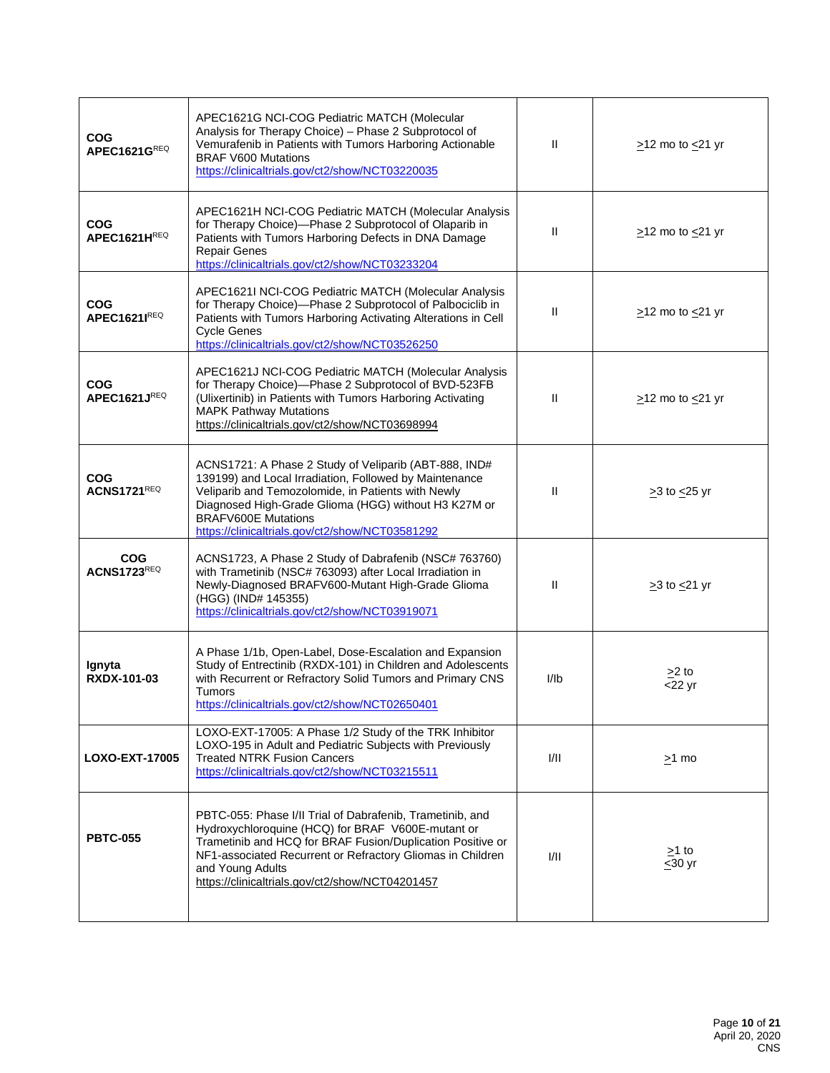| <b>COG</b><br>APEC1621GREQ        | APEC1621G NCI-COG Pediatric MATCH (Molecular<br>Analysis for Therapy Choice) - Phase 2 Subprotocol of<br>Vemurafenib in Patients with Tumors Harboring Actionable<br><b>BRAF V600 Mutations</b><br>https://clinicaltrials.gov/ct2/show/NCT03220035                                                                | $\mathbf{H}$   | $\geq$ 12 mo to $\leq$ 21 yr |
|-----------------------------------|-------------------------------------------------------------------------------------------------------------------------------------------------------------------------------------------------------------------------------------------------------------------------------------------------------------------|----------------|------------------------------|
| <b>COG</b><br>APEC1621HREQ        | APEC1621H NCI-COG Pediatric MATCH (Molecular Analysis<br>for Therapy Choice)-Phase 2 Subprotocol of Olaparib in<br>Patients with Tumors Harboring Defects in DNA Damage<br>Repair Genes<br>https://clinicaltrials.gov/ct2/show/NCT03233204                                                                        | $\mathbf{I}$   | $\geq$ 12 mo to $\leq$ 21 yr |
| <b>COG</b><br><b>APEC1621IREQ</b> | APEC1621I NCI-COG Pediatric MATCH (Molecular Analysis<br>for Therapy Choice)-Phase 2 Subprotocol of Palbociclib in<br>Patients with Tumors Harboring Activating Alterations in Cell<br><b>Cycle Genes</b><br>https://clinicaltrials.gov/ct2/show/NCT03526250                                                      | $\mathbf{I}$   | $\geq$ 12 mo to $\leq$ 21 yr |
| <b>COG</b><br>APEC1621JREQ        | APEC1621J NCI-COG Pediatric MATCH (Molecular Analysis<br>for Therapy Choice)-Phase 2 Subprotocol of BVD-523FB<br>(Ulixertinib) in Patients with Tumors Harboring Activating<br><b>MAPK Pathway Mutations</b><br>https://clinicaltrials.gov/ct2/show/NCT03698994                                                   | $\mathbf{II}$  | $\geq$ 12 mo to $\leq$ 21 yr |
| <b>COG</b><br><b>ACNS1721REQ</b>  | ACNS1721: A Phase 2 Study of Veliparib (ABT-888, IND#<br>139199) and Local Irradiation, Followed by Maintenance<br>Veliparib and Temozolomide, in Patients with Newly<br>Diagnosed High-Grade Glioma (HGG) without H3 K27M or<br><b>BRAFV600E Mutations</b><br>https://clinicaltrials.gov/ct2/show/NCT03581292    | $\mathbf{I}$   | $\geq$ 3 to $\leq$ 25 yr     |
| <b>COG</b><br><b>ACNS1723REQ</b>  | ACNS1723, A Phase 2 Study of Dabrafenib (NSC# 763760)<br>with Trametinib (NSC# 763093) after Local Irradiation in<br>Newly-Diagnosed BRAFV600-Mutant High-Grade Glioma<br>(HGG) (IND# 145355)<br>https://clinicaltrials.gov/ct2/show/NCT03919071                                                                  | $\mathbf{I}$   | $\geq$ 3 to $\leq$ 21 yr     |
| Ignyta<br><b>RXDX-101-03</b>      | A Phase 1/1b, Open-Label, Dose-Escalation and Expansion<br>Study of Entrectinib (RXDX-101) in Children and Adolescents<br>with Recurrent or Refractory Solid Tumors and Primary CNS<br>Tumors<br>https://clinicaltrials.gov/ct2/show/NCT02650401                                                                  | I <sub>l</sub> | $>2$ to<br>$<$ 22 yr         |
| <b>LOXO-EXT-17005</b>             | LOXO-EXT-17005: A Phase 1/2 Study of the TRK Inhibitor<br>LOXO-195 in Adult and Pediatric Subjects with Previously<br><b>Treated NTRK Fusion Cancers</b><br>https://clinicaltrials.gov/ct2/show/NCT03215511                                                                                                       | 1/11           | $\geq$ 1 mo                  |
| <b>PBTC-055</b>                   | PBTC-055: Phase I/II Trial of Dabrafenib, Trametinib, and<br>Hydroxychloroquine (HCQ) for BRAF V600E-mutant or<br>Trametinib and HCQ for BRAF Fusion/Duplication Positive or<br>NF1-associated Recurrent or Refractory Gliomas in Children<br>and Young Adults<br>https://clinicaltrials.gov/ct2/show/NCT04201457 | 1/11           | $\geq$ 1 to<br>$\leq 30$ yr  |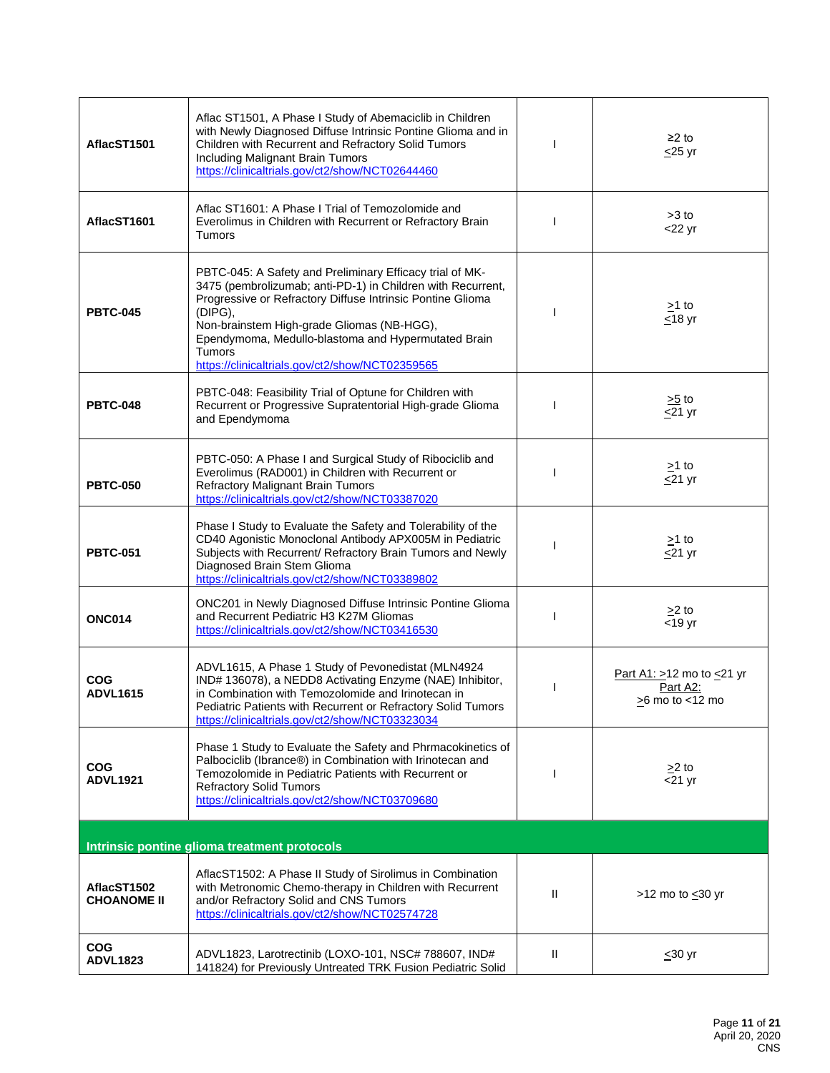| AflacST1501                       | Aflac ST1501, A Phase I Study of Abemaciclib in Children<br>with Newly Diagnosed Diffuse Intrinsic Pontine Glioma and in<br>Children with Recurrent and Refractory Solid Tumors<br>Including Malignant Brain Tumors<br>https://clinicaltrials.gov/ct2/show/NCT02644460                                                                                             |              | $≥2$ to<br>$\leq$ 25 yr                                          |
|-----------------------------------|--------------------------------------------------------------------------------------------------------------------------------------------------------------------------------------------------------------------------------------------------------------------------------------------------------------------------------------------------------------------|--------------|------------------------------------------------------------------|
| AflacST1601                       | Aflac ST1601: A Phase I Trial of Temozolomide and<br>Everolimus in Children with Recurrent or Refractory Brain<br>Tumors                                                                                                                                                                                                                                           |              | $>3$ to<br>$<$ 22 yr                                             |
| <b>PBTC-045</b>                   | PBTC-045: A Safety and Preliminary Efficacy trial of MK-<br>3475 (pembrolizumab; anti-PD-1) in Children with Recurrent,<br>Progressive or Refractory Diffuse Intrinsic Pontine Glioma<br>(DIPG),<br>Non-brainstem High-grade Gliomas (NB-HGG),<br>Ependymoma, Medullo-blastoma and Hypermutated Brain<br>Tumors<br>https://clinicaltrials.gov/ct2/show/NCT02359565 |              | $\geq$ 1 to<br>$\leq$ 18 yr                                      |
| <b>PBTC-048</b>                   | PBTC-048: Feasibility Trial of Optune for Children with<br>Recurrent or Progressive Supratentorial High-grade Glioma<br>and Ependymoma                                                                                                                                                                                                                             |              | $\geq 5$ to<br>$\sqrt{21}$ yr                                    |
| <b>PBTC-050</b>                   | PBTC-050: A Phase I and Surgical Study of Ribociclib and<br>Everolimus (RAD001) in Children with Recurrent or<br>Refractory Malignant Brain Tumors<br>https://clinicaltrials.gov/ct2/show/NCT03387020                                                                                                                                                              |              | $\geq$ 1 to<br>$\leq$ 21 yr                                      |
| <b>PBTC-051</b>                   | Phase I Study to Evaluate the Safety and Tolerability of the<br>CD40 Agonistic Monoclonal Antibody APX005M in Pediatric<br>Subjects with Recurrent/ Refractory Brain Tumors and Newly<br>Diagnosed Brain Stem Glioma<br>https://clinicaltrials.gov/ct2/show/NCT03389802                                                                                            |              | $\geq$ 1 to<br>$\leq$ 21 yr                                      |
| <b>ONC014</b>                     | ONC201 in Newly Diagnosed Diffuse Intrinsic Pontine Glioma<br>and Recurrent Pediatric H3 K27M Gliomas<br>https://clinicaltrials.gov/ct2/show/NCT03416530                                                                                                                                                                                                           |              | $>2$ to<br>$<$ 19 yr                                             |
| COG<br><b>ADVL1615</b>            | ADVL1615, A Phase 1 Study of Pevonedistat (MLN4924<br>IND# 136078), a NEDD8 Activating Enzyme (NAE) Inhibitor,<br>in Combination with Temozolomide and Irinotecan in<br>Pediatric Patients with Recurrent or Refractory Solid Tumors<br>https://clinicaltrials.gov/ct2/show/NCT03323034                                                                            |              | Part A1: $>12$ mo to $\leq$ 21 yr<br>Part A2:<br>>6 mo to <12 mo |
| COG<br><b>ADVL1921</b>            | Phase 1 Study to Evaluate the Safety and Phrmacokinetics of<br>Palbociclib (Ibrance®) in Combination with Irinotecan and<br>Temozolomide in Pediatric Patients with Recurrent or<br><b>Refractory Solid Tumors</b><br>https://clinicaltrials.gov/ct2/show/NCT03709680                                                                                              |              | $\geq$ 2 to<br>$<$ 21 yr                                         |
|                                   | Intrinsic pontine glioma treatment protocols                                                                                                                                                                                                                                                                                                                       |              |                                                                  |
| AflacST1502<br><b>CHOANOME II</b> | AflacST1502: A Phase II Study of Sirolimus in Combination<br>with Metronomic Chemo-therapy in Children with Recurrent<br>and/or Refractory Solid and CNS Tumors<br>https://clinicaltrials.gov/ct2/show/NCT02574728                                                                                                                                                 | $\mathbf{H}$ | >12 mo to $\leq$ 30 yr                                           |
| <b>COG</b><br><b>ADVL1823</b>     | ADVL1823, Larotrectinib (LOXO-101, NSC# 788607, IND#<br>141824) for Previously Untreated TRK Fusion Pediatric Solid                                                                                                                                                                                                                                                | Ħ            | $\leq 30$ yr                                                     |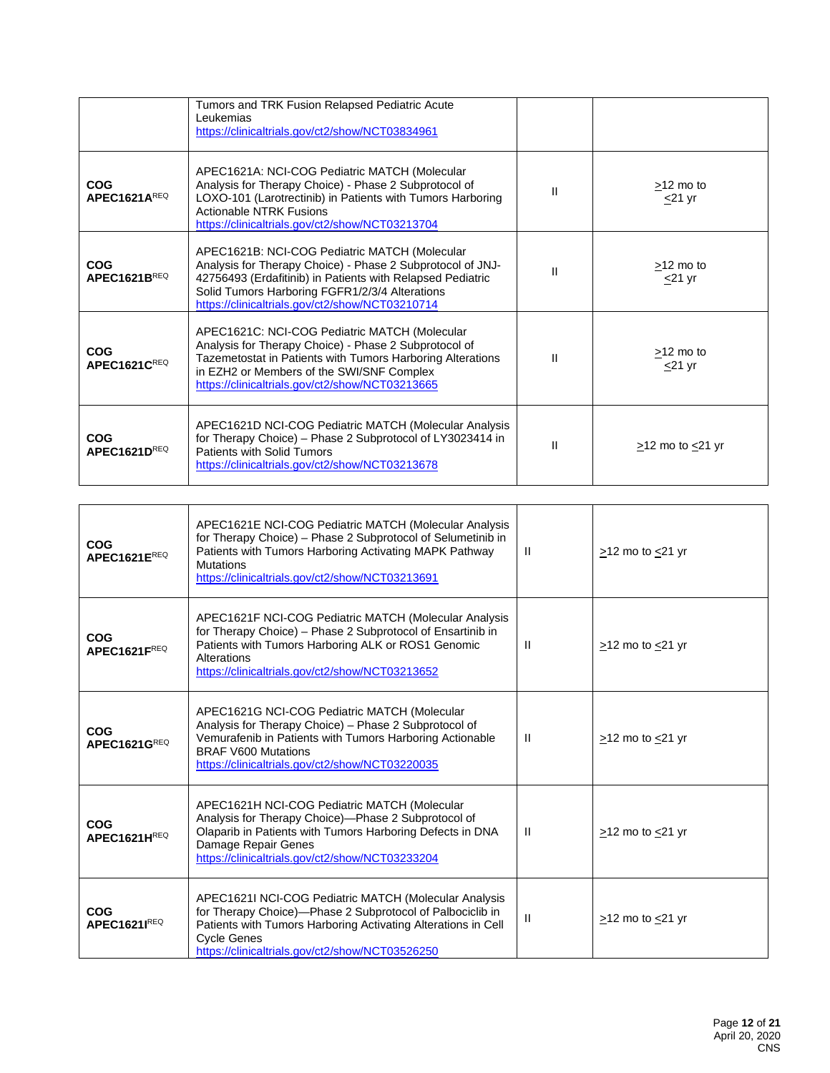|                                        | Tumors and TRK Fusion Relapsed Pediatric Acute<br>Leukemias<br>https://clinicaltrials.gov/ct2/show/NCT03834961                                                                                                                                                                 |              |                             |
|----------------------------------------|--------------------------------------------------------------------------------------------------------------------------------------------------------------------------------------------------------------------------------------------------------------------------------|--------------|-----------------------------|
| <b>COG</b><br>APEC1621AREQ             | APEC1621A: NCI-COG Pediatric MATCH (Molecular<br>Analysis for Therapy Choice) - Phase 2 Subprotocol of<br>LOXO-101 (Larotrectinib) in Patients with Tumors Harboring<br><b>Actionable NTRK Fusions</b><br>https://clinicaltrials.gov/ct2/show/NCT03213704                      | $\mathbf{I}$ | $>12$ mo to<br>$\leq$ 21 yr |
| <b>COG</b><br>APEC1621B <sup>REQ</sup> | APEC1621B: NCI-COG Pediatric MATCH (Molecular<br>Analysis for Therapy Choice) - Phase 2 Subprotocol of JNJ-<br>42756493 (Erdafitinib) in Patients with Relapsed Pediatric<br>Solid Tumors Harboring FGFR1/2/3/4 Alterations<br>https://clinicaltrials.gov/ct2/show/NCT03210714 | Ш            | $>12$ mo to<br>$\leq$ 21 yr |
| <b>COG</b><br>APEC1621CREQ             | APEC1621C: NCI-COG Pediatric MATCH (Molecular<br>Analysis for Therapy Choice) - Phase 2 Subprotocol of<br>Tazemetostat in Patients with Tumors Harboring Alterations<br>in EZH2 or Members of the SWI/SNF Complex<br>https://clinicaltrials.gov/ct2/show/NCT03213665           | $\mathbf{I}$ | $>12$ mo to<br>$<$ 21 yr    |
| <b>COG</b><br>APEC1621DREQ             | APEC1621D NCI-COG Pediatric MATCH (Molecular Analysis<br>for Therapy Choice) - Phase 2 Subprotocol of LY3023414 in<br>Patients with Solid Tumors<br>https://clinicaltrials.gov/ct2/show/NCT03213678                                                                            | $\mathbf{I}$ | $>12$ mo to $<21$ yr        |

| <b>COG</b><br>APEC1621EREQ | APEC1621E NCI-COG Pediatric MATCH (Molecular Analysis<br>for Therapy Choice) - Phase 2 Subprotocol of Selumetinib in<br>Patients with Tumors Harboring Activating MAPK Pathway<br><b>Mutations</b><br>https://clinicaltrials.gov/ct2/show/NCT03213691        | $\mathbf{H}$ | $>12$ mo to $<21$ yr       |
|----------------------------|--------------------------------------------------------------------------------------------------------------------------------------------------------------------------------------------------------------------------------------------------------------|--------------|----------------------------|
| <b>COG</b><br>APEC1621FREQ | APEC1621F NCI-COG Pediatric MATCH (Molecular Analysis<br>for Therapy Choice) - Phase 2 Subprotocol of Ensartinib in<br>Patients with Tumors Harboring ALK or ROS1 Genomic<br>Alterations<br>https://clinicaltrials.gov/ct2/show/NCT03213652                  | $\mathbf{H}$ | $>12$ mo to $<21$ yr       |
| <b>COG</b><br>APEC1621GREQ | APEC1621G NCI-COG Pediatric MATCH (Molecular<br>Analysis for Therapy Choice) - Phase 2 Subprotocol of<br>Vemurafenib in Patients with Tumors Harboring Actionable<br><b>BRAF V600 Mutations</b><br>https://clinicaltrials.gov/ct2/show/NCT03220035           | $\mathbf{H}$ | $\ge$ 12 mo to $\le$ 21 yr |
| <b>COG</b><br>APEC1621HREQ | APEC1621H NCI-COG Pediatric MATCH (Molecular<br>Analysis for Therapy Choice)-Phase 2 Subprotocol of<br>Olaparib in Patients with Tumors Harboring Defects in DNA<br>Damage Repair Genes<br>https://clinicaltrials.gov/ct2/show/NCT03233204                   | $\mathbf{H}$ | $>12$ mo to $<21$ yr       |
| <b>COG</b><br>APEC1621IREQ | APEC1621I NCI-COG Pediatric MATCH (Molecular Analysis<br>for Therapy Choice)-Phase 2 Subprotocol of Palbociclib in<br>Patients with Tumors Harboring Activating Alterations in Cell<br><b>Cycle Genes</b><br>https://clinicaltrials.gov/ct2/show/NCT03526250 | $\mathbf{H}$ | $>12$ mo to $<21$ yr       |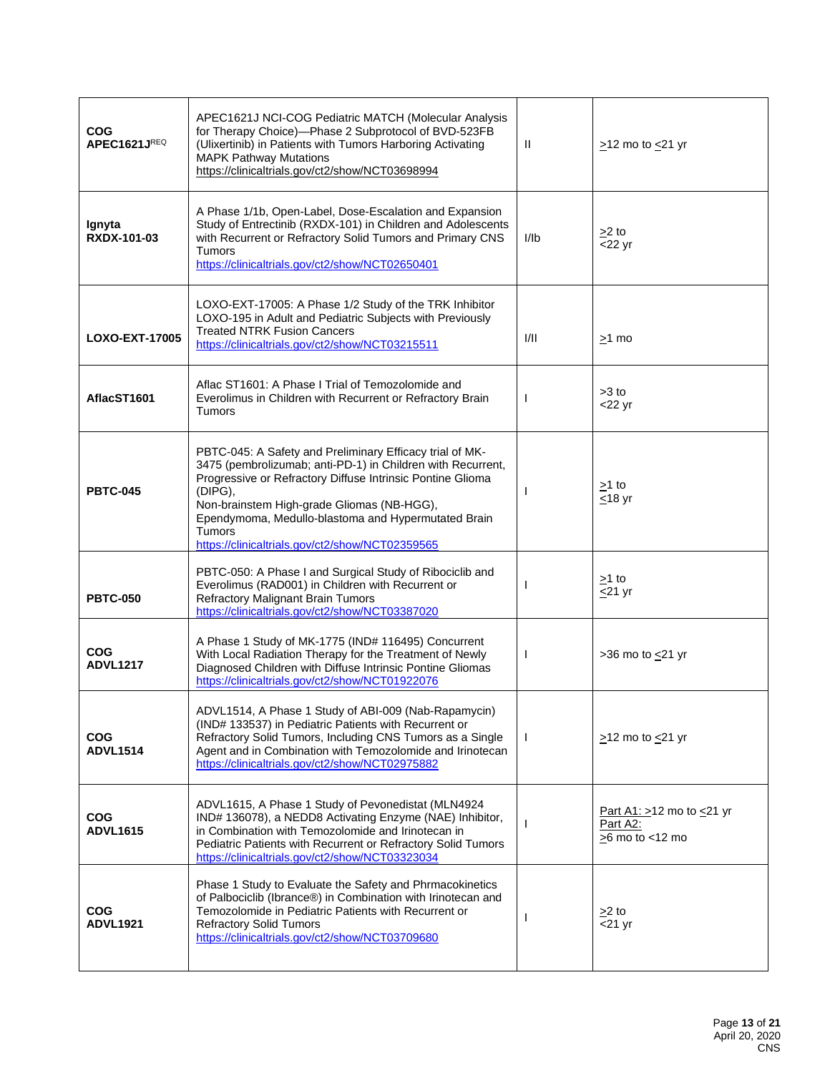| <b>COG</b><br>APEC1621JREQ    | APEC1621J NCI-COG Pediatric MATCH (Molecular Analysis<br>for Therapy Choice)-Phase 2 Subprotocol of BVD-523FB<br>(Ulixertinib) in Patients with Tumors Harboring Activating<br><b>MAPK Pathway Mutations</b><br>https://clinicaltrials.gov/ct2/show/NCT03698994                                                                                                           | Ħ            | $>12$ mo to $<21$ yr                                             |
|-------------------------------|---------------------------------------------------------------------------------------------------------------------------------------------------------------------------------------------------------------------------------------------------------------------------------------------------------------------------------------------------------------------------|--------------|------------------------------------------------------------------|
| Ignyta<br><b>RXDX-101-03</b>  | A Phase 1/1b, Open-Label, Dose-Escalation and Expansion<br>Study of Entrectinib (RXDX-101) in Children and Adolescents<br>with Recurrent or Refractory Solid Tumors and Primary CNS<br><b>Tumors</b><br>https://clinicaltrials.gov/ct2/show/NCT02650401                                                                                                                   | l/lb         | $>2$ to<br>$<$ 22 yr                                             |
| <b>LOXO-EXT-17005</b>         | LOXO-EXT-17005: A Phase 1/2 Study of the TRK Inhibitor<br>LOXO-195 in Adult and Pediatric Subjects with Previously<br><b>Treated NTRK Fusion Cancers</b><br>https://clinicaltrials.gov/ct2/show/NCT03215511                                                                                                                                                               | I/II         | $>1$ mo                                                          |
| AflacST1601                   | Aflac ST1601: A Phase I Trial of Temozolomide and<br>Everolimus in Children with Recurrent or Refractory Brain<br><b>Tumors</b>                                                                                                                                                                                                                                           | $\mathbf{I}$ | $>3$ to<br>$<$ 22 yr                                             |
| <b>PBTC-045</b>               | PBTC-045: A Safety and Preliminary Efficacy trial of MK-<br>3475 (pembrolizumab; anti-PD-1) in Children with Recurrent,<br>Progressive or Refractory Diffuse Intrinsic Pontine Glioma<br>(DIPG),<br>Non-brainstem High-grade Gliomas (NB-HGG),<br>Ependymoma, Medullo-blastoma and Hypermutated Brain<br><b>Tumors</b><br>https://clinicaltrials.gov/ct2/show/NCT02359565 | <b>I</b>     | $>1$ to<br><u>&lt;</u> 18 yr                                     |
| <b>PBTC-050</b>               | PBTC-050: A Phase I and Surgical Study of Ribociclib and<br>Everolimus (RAD001) in Children with Recurrent or<br>Refractory Malignant Brain Tumors<br>https://clinicaltrials.gov/ct2/show/NCT03387020                                                                                                                                                                     | I.           | $>1$ to<br>$\leq$ 21 yr                                          |
| <b>COG</b><br><b>ADVL1217</b> | A Phase 1 Study of MK-1775 (IND# 116495) Concurrent<br>With Local Radiation Therapy for the Treatment of Newly<br>Diagnosed Children with Diffuse Intrinsic Pontine Gliomas<br>https://clinicaltrials.gov/ct2/show/NCT01922076                                                                                                                                            | $\mathbf{I}$ | $>36$ mo to $\leq$ 21 yr                                         |
| <b>COG</b><br><b>ADVL1514</b> | ADVL1514, A Phase 1 Study of ABI-009 (Nab-Rapamycin)<br>(IND# 133537) in Pediatric Patients with Recurrent or<br>Refractory Solid Tumors, Including CNS Tumors as a Single<br>Agent and in Combination with Temozolomide and Irinotecan<br>https://clinicaltrials.gov/ct2/show/NCT02975882                                                                                | $\mathbf{I}$ | $>12$ mo to $<21$ yr                                             |
| <b>COG</b><br><b>ADVL1615</b> | ADVL1615, A Phase 1 Study of Pevonedistat (MLN4924<br>IND# 136078), a NEDD8 Activating Enzyme (NAE) Inhibitor,<br>in Combination with Temozolomide and Irinotecan in<br>Pediatric Patients with Recurrent or Refractory Solid Tumors<br>https://clinicaltrials.gov/ct2/show/NCT03323034                                                                                   | I.           | Part A1: $>12$ mo to $\leq$ 21 yr<br>Part A2:<br>>6 mo to <12 mo |
| <b>COG</b><br><b>ADVL1921</b> | Phase 1 Study to Evaluate the Safety and Phrmacokinetics<br>of Palbociclib (Ibrance®) in Combination with Irinotecan and<br>Temozolomide in Pediatric Patients with Recurrent or<br><b>Refractory Solid Tumors</b><br>https://clinicaltrials.gov/ct2/show/NCT03709680                                                                                                     | J.           | $>2$ to<br>$<$ 21 yr                                             |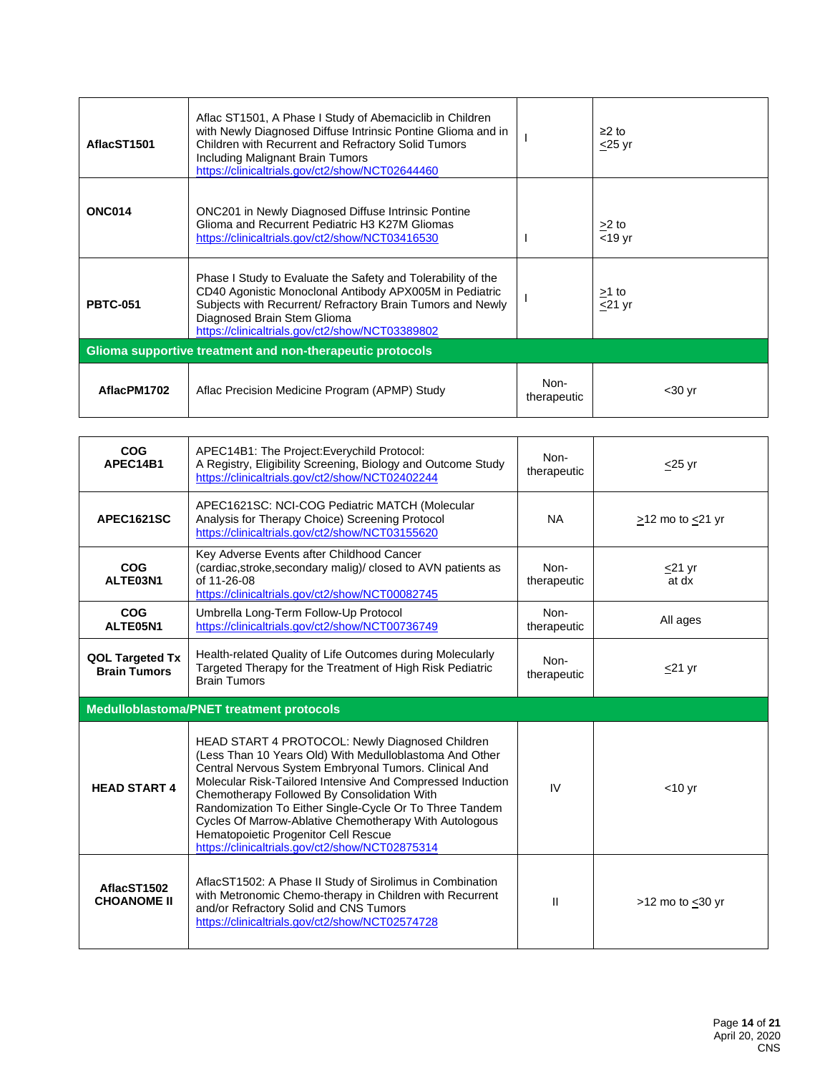| AflacST1501                                               | Aflac ST1501, A Phase I Study of Abemaciclib in Children<br>with Newly Diagnosed Diffuse Intrinsic Pontine Glioma and in<br>Children with Recurrent and Refractory Solid Tumors<br>Including Malignant Brain Tumors<br>https://clinicaltrials.gov/ct2/show/NCT02644460  |                     | $≥2$ to<br>$\leq$ 25 yr |  |
|-----------------------------------------------------------|-------------------------------------------------------------------------------------------------------------------------------------------------------------------------------------------------------------------------------------------------------------------------|---------------------|-------------------------|--|
| <b>ONC014</b>                                             | <b>ONC201</b> in Newly Diagnosed Diffuse Intrinsic Pontine<br>Glioma and Recurrent Pediatric H3 K27M Gliomas<br>https://clinicaltrials.gov/ct2/show/NCT03416530                                                                                                         |                     | $>2$ to<br>$<$ 19 yr    |  |
| <b>PBTC-051</b>                                           | Phase I Study to Evaluate the Safety and Tolerability of the<br>CD40 Agonistic Monoclonal Antibody APX005M in Pediatric<br>Subjects with Recurrent/ Refractory Brain Tumors and Newly<br>Diagnosed Brain Stem Glioma<br>https://clinicaltrials.gov/ct2/show/NCT03389802 |                     | $>1$ to<br>$<$ 21 yr    |  |
| Glioma supportive treatment and non-therapeutic protocols |                                                                                                                                                                                                                                                                         |                     |                         |  |
| AflacPM1702                                               | Aflac Precision Medicine Program (APMP) Study                                                                                                                                                                                                                           | Non-<br>therapeutic | $30 yr$                 |  |

| COG<br>APEC14B1                               | APEC14B1: The Project: Everychild Protocol:<br>A Registry, Eligibility Screening, Biology and Outcome Study<br>https://clinicaltrials.gov/ct2/show/NCT02402244                                                                                                                                                                                                                                                                                                                                   | Non-<br>therapeutic | $\leq$ 25 yr          |
|-----------------------------------------------|--------------------------------------------------------------------------------------------------------------------------------------------------------------------------------------------------------------------------------------------------------------------------------------------------------------------------------------------------------------------------------------------------------------------------------------------------------------------------------------------------|---------------------|-----------------------|
| <b>APEC1621SC</b>                             | APEC1621SC: NCI-COG Pediatric MATCH (Molecular<br>Analysis for Therapy Choice) Screening Protocol<br>https://clinicaltrials.gov/ct2/show/NCT03155620                                                                                                                                                                                                                                                                                                                                             | <b>NA</b>           | $>12$ mo to $<$ 21 yr |
| COG<br>ALTE03N1                               | Key Adverse Events after Childhood Cancer<br>(cardiac, stroke, secondary malig)/ closed to AVN patients as<br>of 11-26-08<br>https://clinicaltrials.gov/ct2/show/NCT00082745                                                                                                                                                                                                                                                                                                                     | Non-<br>therapeutic | $\leq$ 21 yr<br>at dx |
| COG<br>ALTE05N1                               | Umbrella Long-Term Follow-Up Protocol<br>https://clinicaltrials.gov/ct2/show/NCT00736749                                                                                                                                                                                                                                                                                                                                                                                                         | Non-<br>therapeutic | All ages              |
| <b>QOL Targeted Tx</b><br><b>Brain Tumors</b> | Health-related Quality of Life Outcomes during Molecularly<br>Targeted Therapy for the Treatment of High Risk Pediatric<br><b>Brain Tumors</b>                                                                                                                                                                                                                                                                                                                                                   | Non-<br>therapeutic | $\leq$ 21 yr          |
|                                               |                                                                                                                                                                                                                                                                                                                                                                                                                                                                                                  |                     |                       |
|                                               | Medulloblastoma/PNET treatment protocols                                                                                                                                                                                                                                                                                                                                                                                                                                                         |                     |                       |
| <b>HEAD START 4</b>                           | HEAD START 4 PROTOCOL: Newly Diagnosed Children<br>(Less Than 10 Years Old) With Medulloblastoma And Other<br>Central Nervous System Embryonal Tumors. Clinical And<br>Molecular Risk-Tailored Intensive And Compressed Induction<br>Chemotherapy Followed By Consolidation With<br>Randomization To Either Single-Cycle Or To Three Tandem<br>Cycles Of Marrow-Ablative Chemotherapy With Autologous<br>Hematopoietic Progenitor Cell Rescue<br>https://clinicaltrials.gov/ct2/show/NCT02875314 | IV                  | $<$ 10 yr             |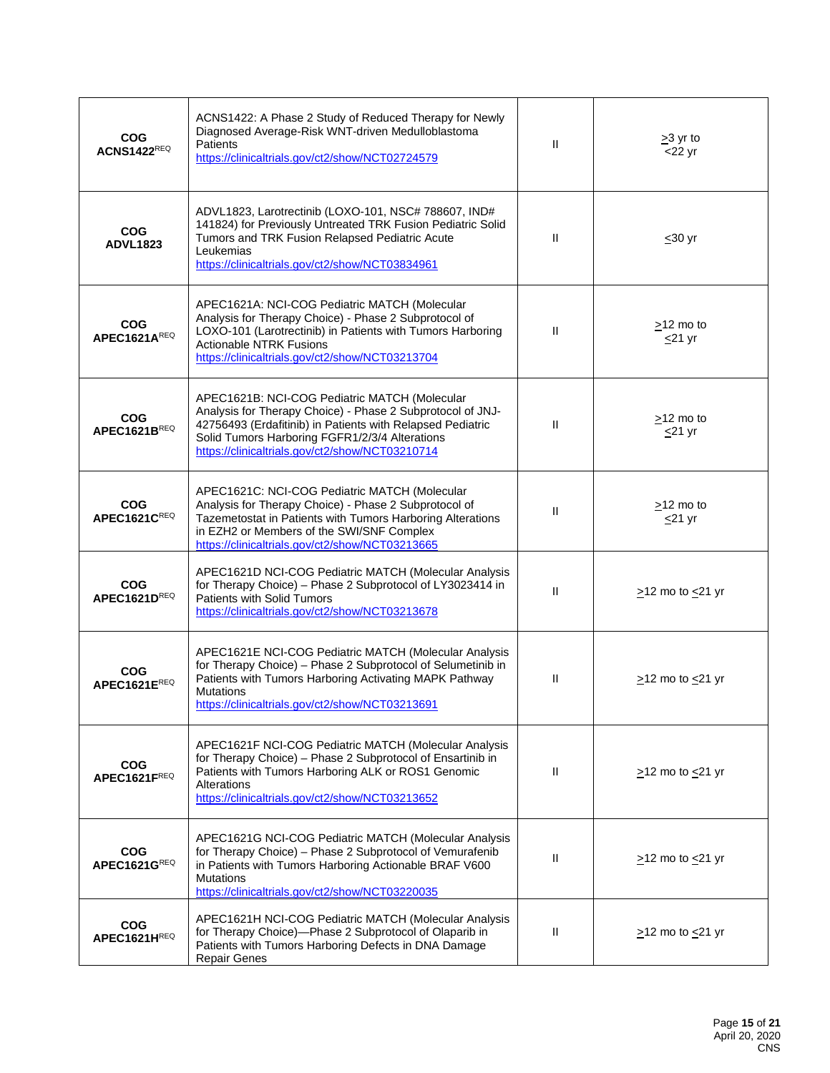| <b>COG</b><br><b>ACNS1422REQ</b> | ACNS1422: A Phase 2 Study of Reduced Therapy for Newly<br>Diagnosed Average-Risk WNT-driven Medulloblastoma<br><b>Patients</b><br>https://clinicaltrials.gov/ct2/show/NCT02724579                                                                                              | $\mathbf{H}$ | $\geq$ 3 yr to<br>$<$ 22 yr  |
|----------------------------------|--------------------------------------------------------------------------------------------------------------------------------------------------------------------------------------------------------------------------------------------------------------------------------|--------------|------------------------------|
| <b>COG</b><br><b>ADVL1823</b>    | ADVL1823, Larotrectinib (LOXO-101, NSC# 788607, IND#<br>141824) for Previously Untreated TRK Fusion Pediatric Solid<br>Tumors and TRK Fusion Relapsed Pediatric Acute<br>Leukemias<br>https://clinicaltrials.gov/ct2/show/NCT03834961                                          | $\mathbf{H}$ | $30$ yr                      |
| <b>COG</b><br>APEC1621AREQ       | APEC1621A: NCI-COG Pediatric MATCH (Molecular<br>Analysis for Therapy Choice) - Phase 2 Subprotocol of<br>LOXO-101 (Larotrectinib) in Patients with Tumors Harboring<br><b>Actionable NTRK Fusions</b><br>https://clinicaltrials.gov/ct2/show/NCT03213704                      | $\mathbf{H}$ | >12 mo to<br>$\leq$ 21 yr    |
| <b>COG</b><br>APEC1621BREQ       | APEC1621B: NCI-COG Pediatric MATCH (Molecular<br>Analysis for Therapy Choice) - Phase 2 Subprotocol of JNJ-<br>42756493 (Erdafitinib) in Patients with Relapsed Pediatric<br>Solid Tumors Harboring FGFR1/2/3/4 Alterations<br>https://clinicaltrials.gov/ct2/show/NCT03210714 | $\mathbf{H}$ | $>12$ mo to<br>$\leq$ 21 yr  |
| <b>COG</b><br>APEC1621CREQ       | APEC1621C: NCI-COG Pediatric MATCH (Molecular<br>Analysis for Therapy Choice) - Phase 2 Subprotocol of<br>Tazemetostat in Patients with Tumors Harboring Alterations<br>in EZH2 or Members of the SWI/SNF Complex<br>https://clinicaltrials.gov/ct2/show/NCT03213665           | $\mathbf{H}$ | $\geq$ 12 mo to<br>$<$ 21 yr |
| <b>COG</b><br>APEC1621DREQ       | APEC1621D NCI-COG Pediatric MATCH (Molecular Analysis<br>for Therapy Choice) - Phase 2 Subprotocol of LY3023414 in<br><b>Patients with Solid Tumors</b><br>https://clinicaltrials.gov/ct2/show/NCT03213678                                                                     | $\mathbf{H}$ | $\geq$ 12 mo to $\leq$ 21 yr |
| <b>COG</b><br>APEC1621EREQ       | APEC1621E NCI-COG Pediatric MATCH (Molecular Analysis<br>for Therapy Choice) - Phase 2 Subprotocol of Selumetinib in<br>Patients with Tumors Harboring Activating MAPK Pathway<br><b>Mutations</b><br>https://clinicaltrials.gov/ct2/show/NCT03213691                          | $\mathbf{H}$ | >12 mo to <21 yr             |
| <b>COG</b><br>APEC1621FREQ       | APEC1621F NCI-COG Pediatric MATCH (Molecular Analysis<br>for Therapy Choice) - Phase 2 Subprotocol of Ensartinib in<br>Patients with Tumors Harboring ALK or ROS1 Genomic<br>Alterations<br>https://clinicaltrials.gov/ct2/show/NCT03213652                                    | $\mathbf{H}$ | $>12$ mo to $<21$ yr         |
| <b>COG</b><br>APEC1621GREQ       | APEC1621G NCI-COG Pediatric MATCH (Molecular Analysis<br>for Therapy Choice) - Phase 2 Subprotocol of Vemurafenib<br>in Patients with Tumors Harboring Actionable BRAF V600<br><b>Mutations</b><br>https://clinicaltrials.gov/ct2/show/NCT03220035                             | $\mathbf{H}$ | $\ge$ 12 mo to $\le$ 21 yr   |
| <b>COG</b><br>APEC1621HREQ       | APEC1621H NCI-COG Pediatric MATCH (Molecular Analysis<br>for Therapy Choice)-Phase 2 Subprotocol of Olaparib in<br>Patients with Tumors Harboring Defects in DNA Damage<br><b>Repair Genes</b>                                                                                 | Ш            | $\geq$ 12 mo to $\leq$ 21 yr |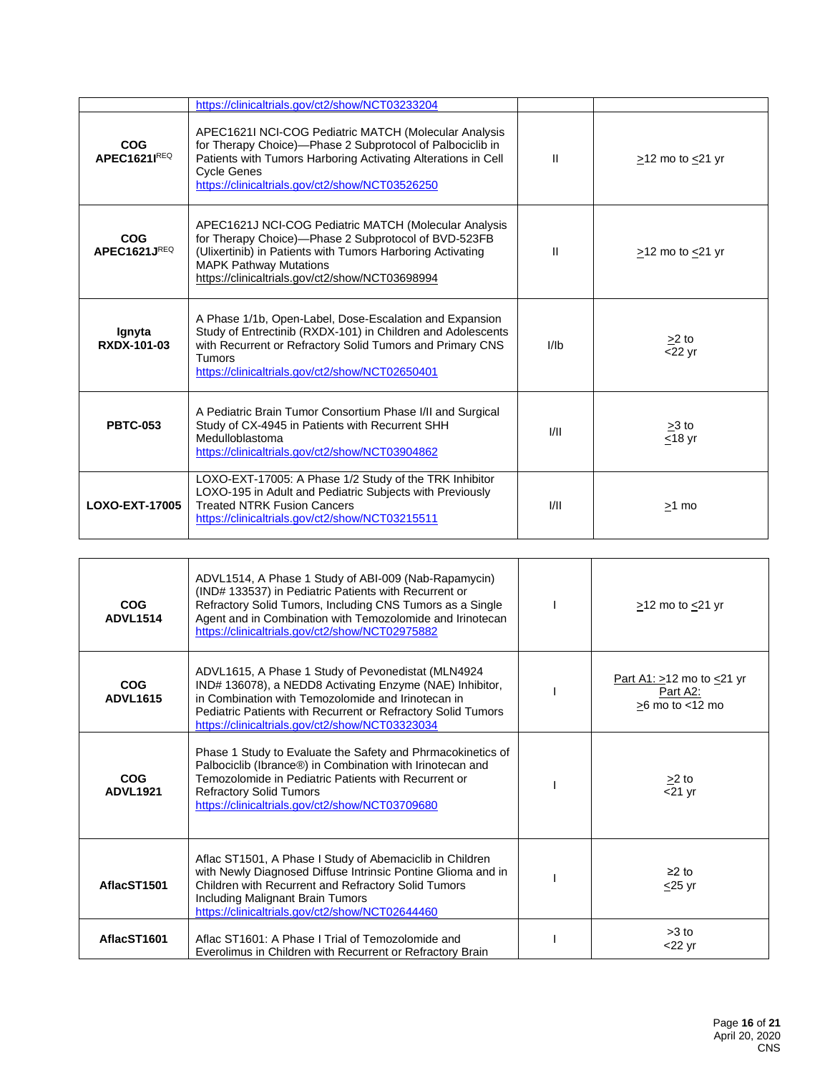|                            | https://clinicaltrials.gov/ct2/show/NCT03233204                                                                                                                                                                                                                 |                |                        |
|----------------------------|-----------------------------------------------------------------------------------------------------------------------------------------------------------------------------------------------------------------------------------------------------------------|----------------|------------------------|
| <b>COG</b><br>APEC1621IREQ | APEC1621I NCI-COG Pediatric MATCH (Molecular Analysis<br>for Therapy Choice)-Phase 2 Subprotocol of Palbociclib in<br>Patients with Tumors Harboring Activating Alterations in Cell<br><b>Cycle Genes</b><br>https://clinicaltrials.gov/ct2/show/NCT03526250    | Ш              | $>12$ mo to $<21$ yr   |
| <b>COG</b><br>APEC1621JREQ | APEC1621J NCI-COG Pediatric MATCH (Molecular Analysis<br>for Therapy Choice)-Phase 2 Subprotocol of BVD-523FB<br>(Ulixertinib) in Patients with Tumors Harboring Activating<br><b>MAPK Pathway Mutations</b><br>https://clinicaltrials.gov/ct2/show/NCT03698994 | Ш              | $>12$ mo to $<$ 21 yr  |
| Ignyta<br>RXDX-101-03      | A Phase 1/1b, Open-Label, Dose-Escalation and Expansion<br>Study of Entrectinib (RXDX-101) in Children and Adolescents<br>with Recurrent or Refractory Solid Tumors and Primary CNS<br>Tumors<br>https://clinicaltrials.gov/ct2/show/NCT02650401                | I <sub>1</sub> | $>2$ to<br>$<$ 22 yr   |
| <b>PBTC-053</b>            | A Pediatric Brain Tumor Consortium Phase I/II and Surgical<br>Study of CX-4945 in Patients with Recurrent SHH<br>Medulloblastoma<br>https://clinicaltrials.gov/ct2/show/NCT03904862                                                                             | 1/11           | $>3$ to<br>$<$ 18 $yr$ |
| LOXO-EXT-17005             | LOXO-EXT-17005: A Phase 1/2 Study of the TRK Inhibitor<br>LOXO-195 in Adult and Pediatric Subjects with Previously<br><b>Treated NTRK Fusion Cancers</b><br>https://clinicaltrials.gov/ct2/show/NCT03215511                                                     | 1/11           | $>1$ mo                |

| <b>COG</b><br><b>ADVL1514</b> | ADVL1514, A Phase 1 Study of ABI-009 (Nab-Rapamycin)<br>(IND# 133537) in Pediatric Patients with Recurrent or<br>Refractory Solid Tumors, Including CNS Tumors as a Single<br>Agent and in Combination with Temozolomide and Irinotecan<br>https://clinicaltrials.gov/ct2/show/NCT02975882 | $>12$ mo to $<21$ yr                                             |
|-------------------------------|--------------------------------------------------------------------------------------------------------------------------------------------------------------------------------------------------------------------------------------------------------------------------------------------|------------------------------------------------------------------|
| <b>COG</b><br><b>ADVL1615</b> | ADVL1615, A Phase 1 Study of Pevonedistat (MLN4924<br>IND# 136078), a NEDD8 Activating Enzyme (NAE) Inhibitor,<br>in Combination with Temozolomide and Irinotecan in<br>Pediatric Patients with Recurrent or Refractory Solid Tumors<br>https://clinicaltrials.gov/ct2/show/NCT03323034    | Part A1: $>12$ mo to $\leq$ 21 yr<br>Part A2:<br>>6 mo to <12 mo |
| COG<br><b>ADVL1921</b>        | Phase 1 Study to Evaluate the Safety and Phrmacokinetics of<br>Palbociclib (Ibrance®) in Combination with Irinotecan and<br>Temozolomide in Pediatric Patients with Recurrent or<br><b>Refractory Solid Tumors</b><br>https://clinicaltrials.gov/ct2/show/NCT03709680                      | $\geq$ 2 to<br>$\overline{21}$ yr                                |
| AflacST1501                   | Aflac ST1501, A Phase I Study of Abemaciclib in Children<br>with Newly Diagnosed Diffuse Intrinsic Pontine Glioma and in<br>Children with Recurrent and Refractory Solid Tumors<br>Including Malignant Brain Tumors<br>https://clinicaltrials.gov/ct2/show/NCT02644460                     | $\geq$ 2 to<br>$\leq$ 25 yr                                      |
| AflacST1601                   | Aflac ST1601: A Phase I Trial of Temozolomide and<br>Everolimus in Children with Recurrent or Refractory Brain                                                                                                                                                                             | $>3$ to<br>$<$ 22 yr                                             |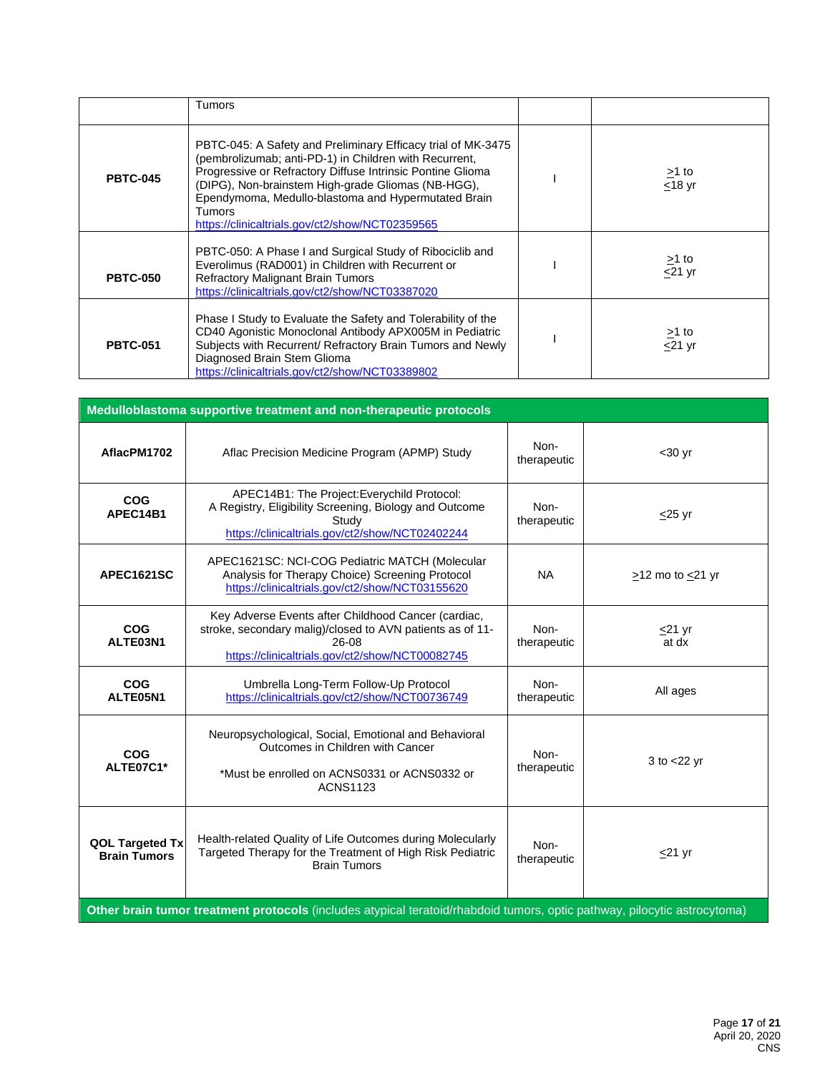|                 | Tumors                                                                                                                                                                                                                                                                                                                                                                |                                       |
|-----------------|-----------------------------------------------------------------------------------------------------------------------------------------------------------------------------------------------------------------------------------------------------------------------------------------------------------------------------------------------------------------------|---------------------------------------|
| <b>PBTC-045</b> | PBTC-045: A Safety and Preliminary Efficacy trial of MK-3475<br>(pembrolizumab; anti-PD-1) in Children with Recurrent,<br>Progressive or Refractory Diffuse Intrinsic Pontine Glioma<br>(DIPG), Non-brainstem High-grade Gliomas (NB-HGG),<br>Ependymoma, Medullo-blastoma and Hypermutated Brain<br><b>Tumors</b><br>https://clinicaltrials.gov/ct2/show/NCT02359565 | <u>&gt;</u> 1 to<br><u>&lt;</u> 18 yr |
| <b>PBTC-050</b> | PBTC-050: A Phase I and Surgical Study of Ribociclib and<br>Everolimus (RAD001) in Children with Recurrent or<br><b>Refractory Malignant Brain Tumors</b><br>https://clinicaltrials.gov/ct2/show/NCT03387020                                                                                                                                                          | $\geq$ 1 to<br>$<$ 21 $yr$            |
| <b>PBTC-051</b> | Phase I Study to Evaluate the Safety and Tolerability of the<br>CD40 Agonistic Monoclonal Antibody APX005M in Pediatric<br>Subjects with Recurrent/ Refractory Brain Tumors and Newly<br>Diagnosed Brain Stem Glioma<br>https://clinicaltrials.gov/ct2/show/NCT03389802                                                                                               | $\geq$ 1 to<br>$\overline{5}$ 21 yr   |

| Medulloblastoma supportive treatment and non-therapeutic protocols                                                       |                                                                                                                                                                              |                     |                       |
|--------------------------------------------------------------------------------------------------------------------------|------------------------------------------------------------------------------------------------------------------------------------------------------------------------------|---------------------|-----------------------|
| AflacPM1702                                                                                                              | Aflac Precision Medicine Program (APMP) Study                                                                                                                                | Non-<br>therapeutic | $30$ yr               |
| <b>COG</b><br>APEC14B1                                                                                                   | APEC14B1: The Project: Everychild Protocol:<br>A Registry, Eligibility Screening, Biology and Outcome<br>Study<br>https://clinicaltrials.gov/ct2/show/NCT02402244            | Non-<br>therapeutic | $<$ 25 yr             |
| APEC1621SC                                                                                                               | APEC1621SC: NCI-COG Pediatric MATCH (Molecular<br>Analysis for Therapy Choice) Screening Protocol<br>https://clinicaltrials.gov/ct2/show/NCT03155620                         | <b>NA</b>           | $>12$ mo to $<21$ yr  |
| <b>COG</b><br>ALTE03N1                                                                                                   | Key Adverse Events after Childhood Cancer (cardiac,<br>stroke, secondary malig)/closed to AVN patients as of 11-<br>26-08<br>https://clinicaltrials.gov/ct2/show/NCT00082745 | Non-<br>therapeutic | $\leq$ 21 yr<br>at dx |
| <b>COG</b><br>ALTE05N1                                                                                                   | Umbrella Long-Term Follow-Up Protocol<br>https://clinicaltrials.gov/ct2/show/NCT00736749                                                                                     | Non-<br>therapeutic | All ages              |
| <b>COG</b><br>ALTE07C1*                                                                                                  | Neuropsychological, Social, Emotional and Behavioral<br>Outcomes in Children with Cancer<br>*Must be enrolled on ACNS0331 or ACNS0332 or<br><b>ACNS1123</b>                  | Non-<br>therapeutic | $3$ to $<$ 22 yr      |
| <b>QOL Targeted Tx</b><br><b>Brain Tumors</b>                                                                            | Health-related Quality of Life Outcomes during Molecularly<br>Targeted Therapy for the Treatment of High Risk Pediatric<br><b>Brain Tumors</b>                               | Non-<br>therapeutic | $<$ 21 yr             |
| Other brain tumor treatment protocols (includes atypical teratoid/rhabdoid tumors, optic pathway, pilocytic astrocytoma) |                                                                                                                                                                              |                     |                       |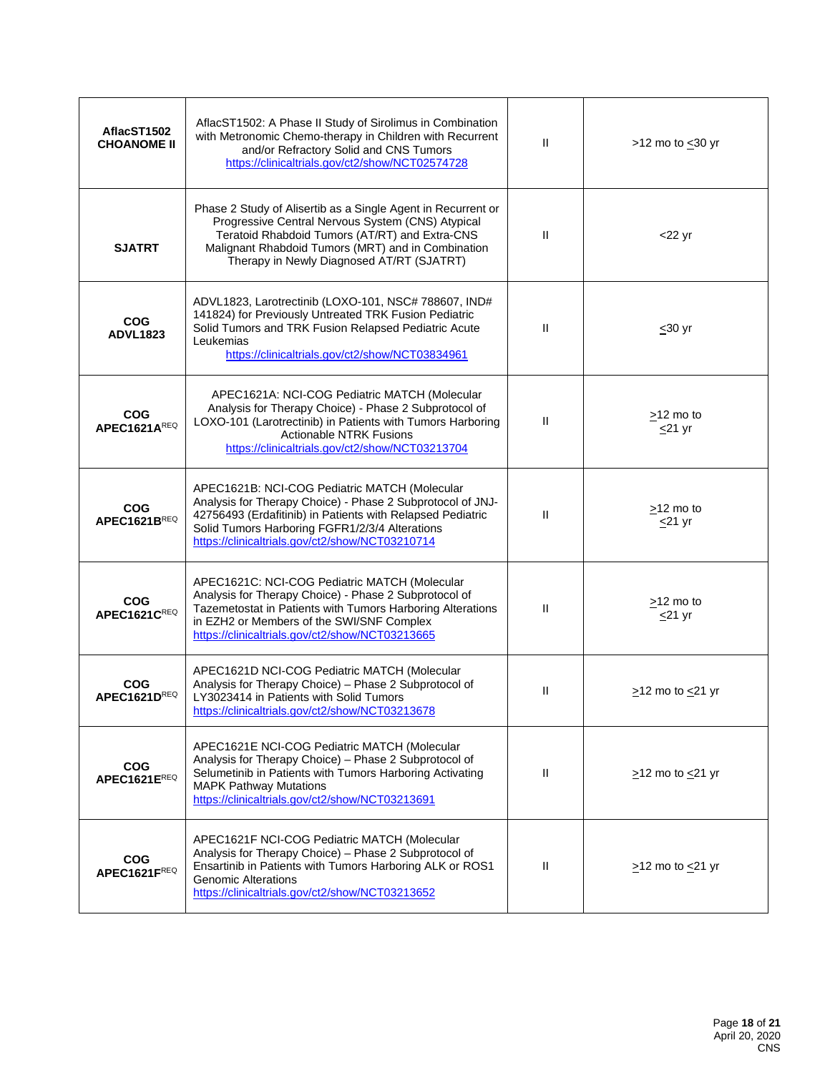| AflacST1502<br><b>CHOANOME II</b> | AflacST1502: A Phase II Study of Sirolimus in Combination<br>with Metronomic Chemo-therapy in Children with Recurrent<br>and/or Refractory Solid and CNS Tumors<br>https://clinicaltrials.gov/ct2/show/NCT02574728                                                             | $\mathbf{H}$ | >12 mo to $\leq$ 30 yr          |
|-----------------------------------|--------------------------------------------------------------------------------------------------------------------------------------------------------------------------------------------------------------------------------------------------------------------------------|--------------|---------------------------------|
| <b>SJATRT</b>                     | Phase 2 Study of Alisertib as a Single Agent in Recurrent or<br>Progressive Central Nervous System (CNS) Atypical<br>Teratoid Rhabdoid Tumors (AT/RT) and Extra-CNS<br>Malignant Rhabdoid Tumors (MRT) and in Combination<br>Therapy in Newly Diagnosed AT/RT (SJATRT)         | $\mathbf{I}$ | $<$ 22 yr                       |
| <b>COG</b><br><b>ADVL1823</b>     | ADVL1823, Larotrectinib (LOXO-101, NSC# 788607, IND#<br>141824) for Previously Untreated TRK Fusion Pediatric<br>Solid Tumors and TRK Fusion Relapsed Pediatric Acute<br>Leukemias<br>https://clinicaltrials.gov/ct2/show/NCT03834961                                          | Ш            | $\leq 30$ yr                    |
| <b>COG</b><br>APEC1621AREQ        | APEC1621A: NCI-COG Pediatric MATCH (Molecular<br>Analysis for Therapy Choice) - Phase 2 Subprotocol of<br>LOXO-101 (Larotrectinib) in Patients with Tumors Harboring<br><b>Actionable NTRK Fusions</b><br>https://clinicaltrials.gov/ct2/show/NCT03213704                      | Ш            | $\geq$ 12 mo to<br>$\leq$ 21 yr |
| <b>COG</b><br>APEC1621BREQ        | APEC1621B: NCI-COG Pediatric MATCH (Molecular<br>Analysis for Therapy Choice) - Phase 2 Subprotocol of JNJ-<br>42756493 (Erdafitinib) in Patients with Relapsed Pediatric<br>Solid Tumors Harboring FGFR1/2/3/4 Alterations<br>https://clinicaltrials.gov/ct2/show/NCT03210714 | Ш            | $\geq$ 12 mo to<br>$\leq$ 21 yr |
| <b>COG</b><br>APEC1621CREQ        | APEC1621C: NCI-COG Pediatric MATCH (Molecular<br>Analysis for Therapy Choice) - Phase 2 Subprotocol of<br>Tazemetostat in Patients with Tumors Harboring Alterations<br>in EZH2 or Members of the SWI/SNF Complex<br>https://clinicaltrials.gov/ct2/show/NCT03213665           | $\mathbf{I}$ | $\geq$ 12 mo to<br>$<$ 21 yr    |
| COG<br>APEC1621DREQ               | APEC1621D NCI-COG Pediatric MATCH (Molecular<br>Analysis for Therapy Choice) - Phase 2 Subprotocol of<br>LY3023414 in Patients with Solid Tumors<br>https://clinicaltrials.gov/ct2/show/NCT03213678                                                                            | Ш            | $\ge$ 12 mo to $\le$ 21 yr      |
| <b>COG</b><br>APEC1621EREQ        | APEC1621E NCI-COG Pediatric MATCH (Molecular<br>Analysis for Therapy Choice) - Phase 2 Subprotocol of<br>Selumetinib in Patients with Tumors Harboring Activating<br><b>MAPK Pathway Mutations</b><br>https://clinicaltrials.gov/ct2/show/NCT03213691                          | $\mathbf{H}$ | $\geq$ 12 mo to $\leq$ 21 yr    |
| <b>COG</b><br>APEC1621FREQ        | APEC1621F NCI-COG Pediatric MATCH (Molecular<br>Analysis for Therapy Choice) - Phase 2 Subprotocol of<br>Ensartinib in Patients with Tumors Harboring ALK or ROS1<br><b>Genomic Alterations</b><br>https://clinicaltrials.gov/ct2/show/NCT03213652                             | $\mathbf{H}$ | $\geq$ 12 mo to $\leq$ 21 yr    |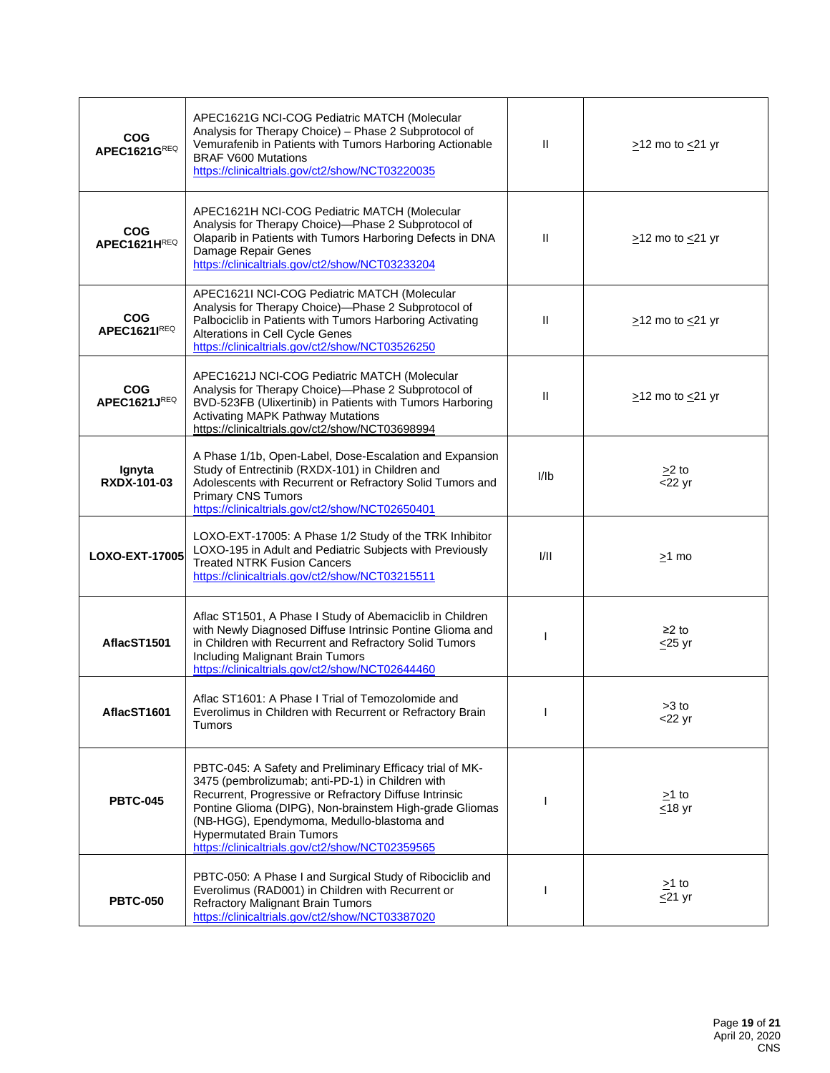| <b>COG</b><br>APEC1621GREQ        | APEC1621G NCI-COG Pediatric MATCH (Molecular<br>Analysis for Therapy Choice) - Phase 2 Subprotocol of<br>Vemurafenib in Patients with Tumors Harboring Actionable<br><b>BRAF V600 Mutations</b><br>https://clinicaltrials.gov/ct2/show/NCT03220035                                                                                                                     | $\mathbf{H}$ | $\geq$ 12 mo to $\leq$ 21 yr |
|-----------------------------------|------------------------------------------------------------------------------------------------------------------------------------------------------------------------------------------------------------------------------------------------------------------------------------------------------------------------------------------------------------------------|--------------|------------------------------|
| <b>COG</b><br>APEC1621HREQ        | APEC1621H NCI-COG Pediatric MATCH (Molecular<br>Analysis for Therapy Choice)-Phase 2 Subprotocol of<br>Olaparib in Patients with Tumors Harboring Defects in DNA<br>Damage Repair Genes<br>https://clinicaltrials.gov/ct2/show/NCT03233204                                                                                                                             | $\mathbf{H}$ | $\geq$ 12 mo to $\leq$ 21 yr |
| <b>COG</b><br><b>APEC1621IREQ</b> | APEC1621I NCI-COG Pediatric MATCH (Molecular<br>Analysis for Therapy Choice)-Phase 2 Subprotocol of<br>Palbociclib in Patients with Tumors Harboring Activating<br>Alterations in Cell Cycle Genes<br>https://clinicaltrials.gov/ct2/show/NCT03526250                                                                                                                  | $\mathbf{H}$ | $\geq$ 12 mo to $\leq$ 21 yr |
| <b>COG</b><br>APEC1621JREQ        | APEC1621J NCI-COG Pediatric MATCH (Molecular<br>Analysis for Therapy Choice)-Phase 2 Subprotocol of<br>BVD-523FB (Ulixertinib) in Patients with Tumors Harboring<br><b>Activating MAPK Pathway Mutations</b><br>https://clinicaltrials.gov/ct2/show/NCT03698994                                                                                                        | Ш            | $\geq$ 12 mo to $\leq$ 21 yr |
| Ignyta<br><b>RXDX-101-03</b>      | A Phase 1/1b, Open-Label, Dose-Escalation and Expansion<br>Study of Entrectinib (RXDX-101) in Children and<br>Adolescents with Recurrent or Refractory Solid Tumors and<br><b>Primary CNS Tumors</b><br>https://clinicaltrials.gov/ct2/show/NCT02650401                                                                                                                | I/Ib         | $>2$ to<br>$<$ 22 yr         |
| LOXO-EXT-17005                    | LOXO-EXT-17005: A Phase 1/2 Study of the TRK Inhibitor<br>LOXO-195 in Adult and Pediatric Subjects with Previously<br><b>Treated NTRK Fusion Cancers</b><br>https://clinicaltrials.gov/ct2/show/NCT03215511                                                                                                                                                            | VII          | $\geq$ 1 mo                  |
| AflacST1501                       | Aflac ST1501, A Phase I Study of Abemaciclib in Children<br>with Newly Diagnosed Diffuse Intrinsic Pontine Glioma and<br>in Children with Recurrent and Refractory Solid Tumors<br>Including Malignant Brain Tumors<br>https://clinicaltrials.gov/ct2/show/NCT02644460                                                                                                 |              | $\geq$ 2 to<br>$\leq$ 25 yr  |
| AflacST1601                       | Aflac ST1601: A Phase I Trial of Temozolomide and<br>Everolimus in Children with Recurrent or Refractory Brain<br><b>Tumors</b>                                                                                                                                                                                                                                        |              | $>3$ to<br>$<$ 22 yr         |
| <b>PBTC-045</b>                   | PBTC-045: A Safety and Preliminary Efficacy trial of MK-<br>3475 (pembrolizumab; anti-PD-1) in Children with<br>Recurrent, Progressive or Refractory Diffuse Intrinsic<br>Pontine Glioma (DIPG), Non-brainstem High-grade Gliomas<br>(NB-HGG), Ependymoma, Medullo-blastoma and<br><b>Hypermutated Brain Tumors</b><br>https://clinicaltrials.gov/ct2/show/NCT02359565 | H            | $\geq$ 1 to<br>$\leq$ 18 yr  |
| <b>PBTC-050</b>                   | PBTC-050: A Phase I and Surgical Study of Ribociclib and<br>Everolimus (RAD001) in Children with Recurrent or<br><b>Refractory Malignant Brain Tumors</b><br>https://clinicaltrials.gov/ct2/show/NCT03387020                                                                                                                                                           |              | $\geq$ 1 to<br>$\leq$ 21 yr  |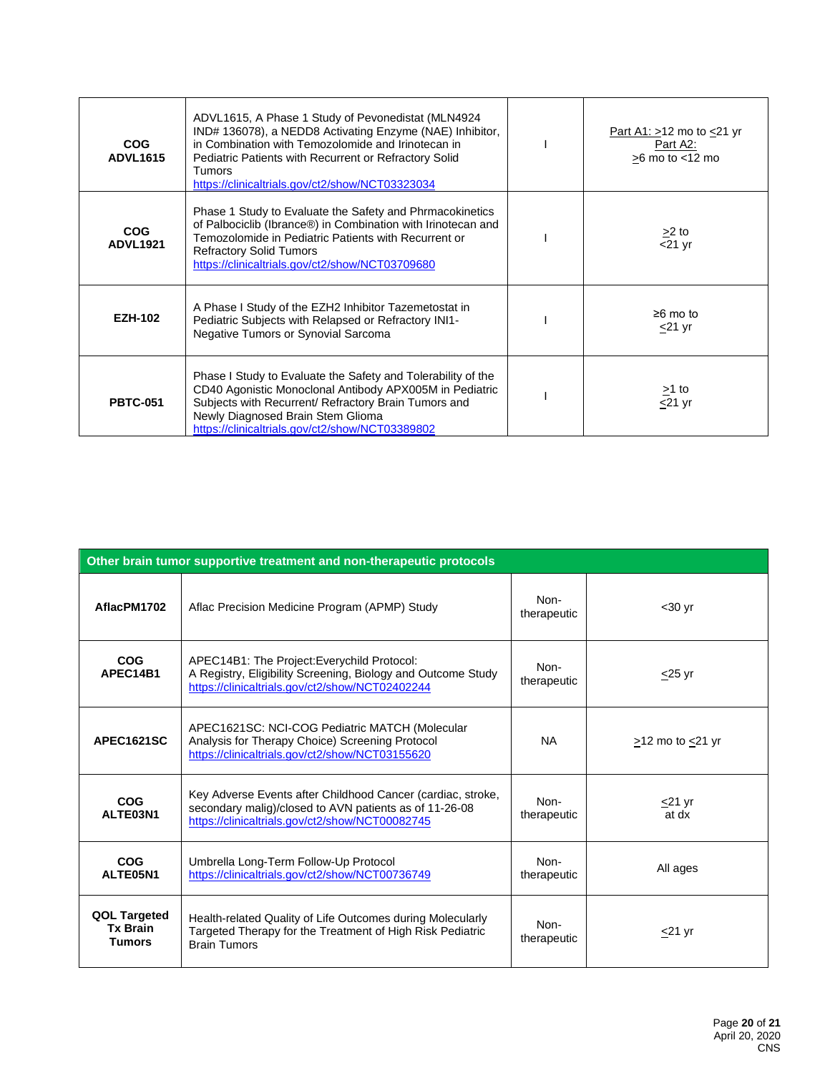| <b>COG</b><br><b>ADVL1615</b> | ADVL1615, A Phase 1 Study of Pevonedistat (MLN4924)<br>IND# 136078), a NEDD8 Activating Enzyme (NAE) Inhibitor,<br>in Combination with Temozolomide and Irinotecan in<br>Pediatric Patients with Recurrent or Refractory Solid<br><b>Tumors</b><br>https://clinicaltrials.gov/ct2/show/NCT03323034 | Part A1: $>12$ mo to $<21$ yr<br>Part A2:<br>$>6$ mo to $<$ 12 mo |
|-------------------------------|----------------------------------------------------------------------------------------------------------------------------------------------------------------------------------------------------------------------------------------------------------------------------------------------------|-------------------------------------------------------------------|
| <b>COG</b><br><b>ADVL1921</b> | Phase 1 Study to Evaluate the Safety and Phrmacokinetics<br>of Palbociclib (Ibrance®) in Combination with Irinotecan and<br>Temozolomide in Pediatric Patients with Recurrent or<br><b>Refractory Solid Tumors</b><br>https://clinicaltrials.gov/ct2/show/NCT03709680                              | $\geq$ 2 to<br>$\overline{5}$ 21 yr                               |
| <b>EZH-102</b>                | A Phase I Study of the EZH2 Inhibitor Tazemetostat in<br>Pediatric Subjects with Relapsed or Refractory INI1-<br>Negative Tumors or Synovial Sarcoma                                                                                                                                               | $\geq 6$ mo to<br>$<$ 21 yr                                       |
| <b>PBTC-051</b>               | Phase I Study to Evaluate the Safety and Tolerability of the<br>CD40 Agonistic Monoclonal Antibody APX005M in Pediatric<br>Subjects with Recurrent/ Refractory Brain Tumors and<br>Newly Diagnosed Brain Stem Glioma<br>https://clinicaltrials.gov/ct2/show/NCT03389802                            | $>1$ to<br>$\leq$ 21 yr                                           |

| Other brain tumor supportive treatment and non-therapeutic protocols |                                                                                                                                                                          |                     |                      |  |
|----------------------------------------------------------------------|--------------------------------------------------------------------------------------------------------------------------------------------------------------------------|---------------------|----------------------|--|
| AflacPM1702                                                          | Aflac Precision Medicine Program (APMP) Study                                                                                                                            | Non-<br>therapeutic | $30$ yr              |  |
| COG<br>APEC14B1                                                      | APEC14B1: The Project: Everychild Protocol:<br>A Registry, Eligibility Screening, Biology and Outcome Study<br>https://clinicaltrials.gov/ct2/show/NCT02402244           | Non-<br>therapeutic | $<$ 25 yr            |  |
| <b>APEC1621SC</b>                                                    | APEC1621SC: NCI-COG Pediatric MATCH (Molecular<br>Analysis for Therapy Choice) Screening Protocol<br>https://clinicaltrials.gov/ct2/show/NCT03155620                     | <b>NA</b>           | $>12$ mo to $<21$ yr |  |
| COG<br>ALTE03N1                                                      | Key Adverse Events after Childhood Cancer (cardiac, stroke,<br>secondary malig)/closed to AVN patients as of 11-26-08<br>https://clinicaltrials.gov/ct2/show/NCT00082745 | Non-<br>therapeutic | $<$ 21 yr<br>at dx   |  |
| COG<br>ALTE05N1                                                      | Umbrella Long-Term Follow-Up Protocol<br>https://clinicaltrials.gov/ct2/show/NCT00736749                                                                                 | Non-<br>therapeutic | All ages             |  |
| <b>QOL Targeted</b><br><b>Tx Brain</b><br><b>Tumors</b>              | Health-related Quality of Life Outcomes during Molecularly<br>Targeted Therapy for the Treatment of High Risk Pediatric<br><b>Brain Tumors</b>                           | Non-<br>therapeutic | $<$ 21 yr            |  |